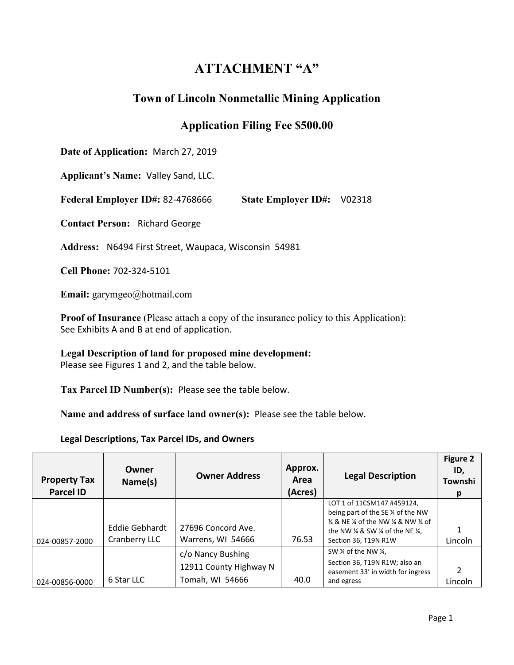# **ATTACHMENT "A"**

# **Town of Lincoln Nonmetallic Mining Application**

## **Application Filing Fee \$500.00**

**Date of Application:** March 27, 2019

**Applicant's Name:** Valley Sand, LLC.

**Federal Employer ID#:** 82-4768666 **State Employer ID#:** V02318

**Contact Person:** Richard George

**Address:** N6494 First Street, Waupaca, Wisconsin 54981

**Cell Phone:** 702-324-5101

**Email:** garymgeo@hotmail.com

**Proof of Insurance** (Please attach a copy of the insurance policy to this Application): See Exhibits A and B at end of application.

**Legal Description of land for proposed mine development:** Please see Figures 1 and 2, and the table below.

**Tax Parcel ID Number(s):** Please see the table below.

**Name and address of surface land owner(s):** Please see the table below.

**Legal Descriptions, Tax Parcel IDs, and Owners** 

| <b>Property Tax</b><br><b>Parcel ID</b> | Owner<br>Name(s)                | <b>Owner Address</b>                                           | Approx.<br>Area<br>(Acres) | <b>Legal Description</b>                                                                                                                                                                                                                        | <b>Figure 2</b><br>ID,<br>Townshi<br>p |
|-----------------------------------------|---------------------------------|----------------------------------------------------------------|----------------------------|-------------------------------------------------------------------------------------------------------------------------------------------------------------------------------------------------------------------------------------------------|----------------------------------------|
| 024-00857-2000                          | Eddie Gebhardt<br>Cranberry LLC | 27696 Concord Ave.<br>Warrens, WI 54666                        | 76.53                      | LOT 1 of 11CSM147 #459124,<br>being part of the SE 1/4 of the NW<br>$\frac{1}{4}$ & NE $\frac{1}{4}$ of the NW $\frac{1}{4}$ & NW $\frac{1}{4}$ of<br>the NW $\frac{1}{4}$ & SW $\frac{1}{4}$ of the NE $\frac{1}{4}$ ,<br>Section 36, T19N R1W | Lincoln                                |
| 024-00856-0000                          | 6 Star LLC                      | c/o Nancy Bushing<br>12911 County Highway N<br>Tomah, WI 54666 | 40.0                       | SW ¼ of the NW ¼,<br>Section 36, T19N R1W; also an<br>easement 33' in width for ingress<br>and egress                                                                                                                                           | Lincoln                                |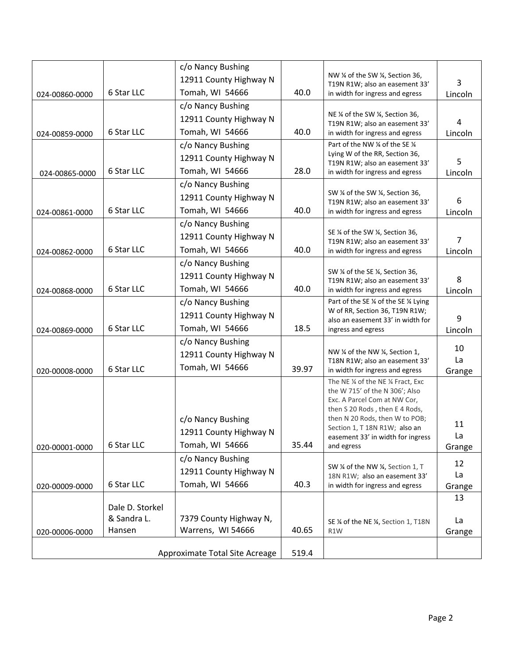|                |                 | c/o Nancy Bushing              |       |                                                                          |                |
|----------------|-----------------|--------------------------------|-------|--------------------------------------------------------------------------|----------------|
|                |                 | 12911 County Highway N         |       | NW 1/4 of the SW 1/4, Section 36,<br>T19N R1W; also an easement 33'      | 3              |
| 024-00860-0000 | 6 Star LLC      | Tomah, WI 54666                | 40.0  | in width for ingress and egress                                          | Lincoln        |
|                |                 | c/o Nancy Bushing              |       |                                                                          |                |
|                |                 | 12911 County Highway N         |       | NE 1/4 of the SW 1/4, Section 36,<br>T19N R1W; also an easement 33'      | 4              |
| 024-00859-0000 | 6 Star LLC      | Tomah, WI 54666                | 40.0  | in width for ingress and egress                                          | Lincoln        |
|                |                 | c/o Nancy Bushing              |       | Part of the NW % of the SE %                                             |                |
|                |                 | 12911 County Highway N         |       | Lying W of the RR, Section 36,                                           |                |
| 024-00865-0000 | 6 Star LLC      | Tomah, WI 54666                | 28.0  | T19N R1W; also an easement 33'<br>in width for ingress and egress        | 5<br>Lincoln   |
|                |                 | c/o Nancy Bushing              |       |                                                                          |                |
|                |                 | 12911 County Highway N         |       | SW % of the SW %, Section 36,                                            |                |
|                | 6 Star LLC      | Tomah, WI 54666                | 40.0  | T19N R1W; also an easement 33'<br>in width for ingress and egress        | 6<br>Lincoln   |
| 024-00861-0000 |                 | c/o Nancy Bushing              |       |                                                                          |                |
|                |                 | 12911 County Highway N         |       | SE 1/4 of the SW 1/4, Section 36,                                        |                |
|                | 6 Star LLC      | Tomah, WI 54666                | 40.0  | T19N R1W; also an easement 33'                                           | $\overline{7}$ |
| 024-00862-0000 |                 | c/o Nancy Bushing              |       | in width for ingress and egress                                          | Lincoln        |
|                |                 |                                |       | SW ¼ of the SE ¼, Section 36,                                            |                |
|                |                 | 12911 County Highway N         |       | T19N R1W; also an easement 33'                                           | 8              |
| 024-00868-0000 | 6 Star LLC      | Tomah, WI 54666                | 40.0  | in width for ingress and egress                                          | Lincoln        |
|                |                 | c/o Nancy Bushing              |       | Part of the SE 1/4 of the SE 1/4 Lying<br>W of RR, Section 36, T19N R1W; |                |
|                |                 | 12911 County Highway N         |       | also an easement 33' in width for                                        | 9              |
| 024-00869-0000 | 6 Star LLC      | Tomah, WI 54666                | 18.5  | ingress and egress                                                       | Lincoln        |
|                |                 | c/o Nancy Bushing              |       |                                                                          | 10             |
|                |                 | 12911 County Highway N         |       | NW 1/4 of the NW 1/4, Section 1,<br>T18N R1W; also an easement 33'       | La             |
| 020-00008-0000 | 6 Star LLC      | Tomah, WI 54666                | 39.97 | in width for ingress and egress                                          | Grange         |
|                |                 |                                |       | The NE 1/4 of the NE 1/4 Fract, Exc                                      |                |
|                |                 |                                |       | the W 715' of the N 306'; Also<br>Exc. A Parcel Com at NW Cor,           |                |
|                |                 |                                |       | then S 20 Rods, then E 4 Rods,                                           |                |
|                |                 | c/o Nancy Bushing              |       | then N 20 Rods, then W to POB;                                           | 11             |
|                |                 | 12911 County Highway N         |       | Section 1, T 18N R1W; also an<br>easement 33' in width for ingress       | La             |
| 020-00001-0000 | 6 Star LLC      | Tomah, WI 54666                | 35.44 | and egress                                                               | Grange         |
|                |                 | c/o Nancy Bushing              |       |                                                                          | 12             |
|                |                 | 12911 County Highway N         |       | SW % of the NW %, Section 1, T<br>18N R1W; also an easement 33'          | La             |
| 020-00009-0000 | 6 Star LLC      | Tomah, WI 54666                | 40.3  | in width for ingress and egress                                          | Grange         |
|                |                 |                                |       |                                                                          | 13             |
|                | Dale D. Storkel |                                |       |                                                                          |                |
|                | & Sandra L.     | 7379 County Highway N,         |       | SE % of the NE %, Section 1, T18N                                        | La             |
| 020-00006-0000 | Hansen          | Warrens, WI 54666              | 40.65 | R <sub>1</sub> W                                                         | Grange         |
|                |                 | Approximate Total Site Acreage | 519.4 |                                                                          |                |
|                |                 |                                |       |                                                                          |                |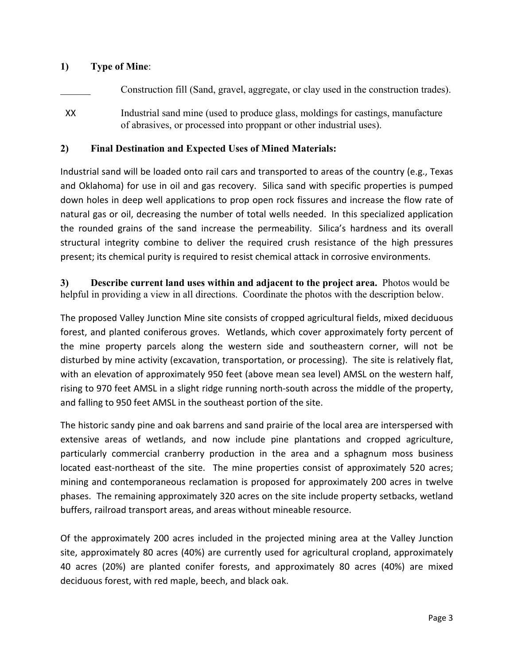## **1) Type of Mine**:

Construction fill (Sand, gravel, aggregate, or clay used in the construction trades).

XX Industrial sand mine (used to produce glass, moldings for castings, manufacture of abrasives, or processed into proppant or other industrial uses).

## **2) Final Destination and Expected Uses of Mined Materials:**

Industrial sand will be loaded onto rail cars and transported to areas of the country (e.g., Texas and Oklahoma) for use in oil and gas recovery. Silica sand with specific properties is pumped down holes in deep well applications to prop open rock fissures and increase the flow rate of natural gas or oil, decreasing the number of total wells needed. In this specialized application the rounded grains of the sand increase the permeability. Silica's hardness and its overall structural integrity combine to deliver the required crush resistance of the high pressures present; its chemical purity is required to resist chemical attack in corrosive environments.

**3) Describe current land uses within and adjacent to the project area.** Photos would be helpful in providing a view in all directions. Coordinate the photos with the description below.

The proposed Valley Junction Mine site consists of cropped agricultural fields, mixed deciduous forest, and planted coniferous groves. Wetlands, which cover approximately forty percent of the mine property parcels along the western side and southeastern corner, will not be disturbed by mine activity (excavation, transportation, or processing). The site is relatively flat, with an elevation of approximately 950 feet (above mean sea level) AMSL on the western half, rising to 970 feet AMSL in a slight ridge running north-south across the middle of the property, and falling to 950 feet AMSL in the southeast portion of the site.

The historic sandy pine and oak barrens and sand prairie of the local area are interspersed with extensive areas of wetlands, and now include pine plantations and cropped agriculture, particularly commercial cranberry production in the area and a sphagnum moss business located east-northeast of the site. The mine properties consist of approximately 520 acres; mining and contemporaneous reclamation is proposed for approximately 200 acres in twelve phases. The remaining approximately 320 acres on the site include property setbacks, wetland buffers, railroad transport areas, and areas without mineable resource.

Of the approximately 200 acres included in the projected mining area at the Valley Junction site, approximately 80 acres (40%) are currently used for agricultural cropland, approximately 40 acres (20%) are planted conifer forests, and approximately 80 acres (40%) are mixed deciduous forest, with red maple, beech, and black oak.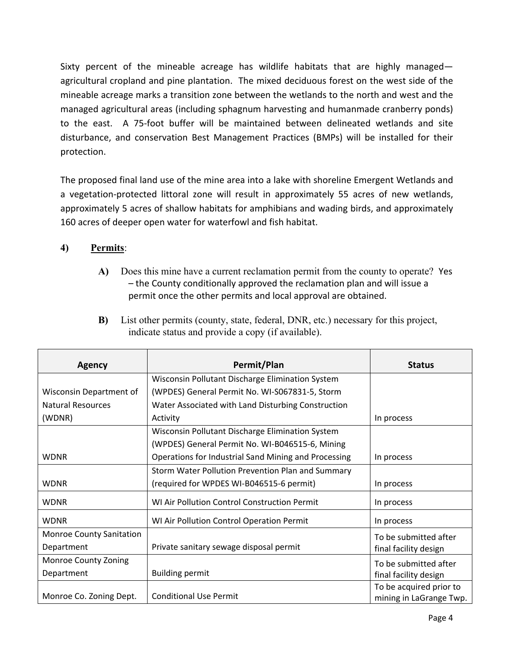Sixty percent of the mineable acreage has wildlife habitats that are highly managed agricultural cropland and pine plantation. The mixed deciduous forest on the west side of the mineable acreage marks a transition zone between the wetlands to the north and west and the managed agricultural areas (including sphagnum harvesting and humanmade cranberry ponds) to the east. A 75-foot buffer will be maintained between delineated wetlands and site disturbance, and conservation Best Management Practices (BMPs) will be installed for their protection.

The proposed final land use of the mine area into a lake with shoreline Emergent Wetlands and a vegetation-protected littoral zone will result in approximately 55 acres of new wetlands, approximately 5 acres of shallow habitats for amphibians and wading birds, and approximately 160 acres of deeper open water for waterfowl and fish habitat.

## **4) Permits**:

- **A)** Does this mine have a current reclamation permit from the county to operate? Yes – the County conditionally approved the reclamation plan and will issue a permit once the other permits and local approval are obtained.
- **B)** List other permits (county, state, federal, DNR, etc.) necessary for this project, indicate status and provide a copy (if available).

| <b>Agency</b>                   | Permit/Plan                                          | <b>Status</b>           |
|---------------------------------|------------------------------------------------------|-------------------------|
|                                 | Wisconsin Pollutant Discharge Elimination System     |                         |
| Wisconsin Department of         | (WPDES) General Permit No. WI-S067831-5, Storm       |                         |
| Natural Resources               | Water Associated with Land Disturbing Construction   |                         |
| (WDNR)                          | Activity                                             | In process              |
|                                 | Wisconsin Pollutant Discharge Elimination System     |                         |
|                                 | (WPDES) General Permit No. WI-B046515-6, Mining      |                         |
| <b>WDNR</b>                     | Operations for Industrial Sand Mining and Processing | In process              |
|                                 | Storm Water Pollution Prevention Plan and Summary    |                         |
| <b>WDNR</b>                     | (required for WPDES WI-B046515-6 permit)             | In process              |
| <b>WDNR</b>                     | WI Air Pollution Control Construction Permit         | In process              |
| <b>WDNR</b>                     | WI Air Pollution Control Operation Permit            | In process              |
| <b>Monroe County Sanitation</b> |                                                      | To be submitted after   |
| Department                      | Private sanitary sewage disposal permit              | final facility design   |
| Monroe County Zoning            |                                                      | To be submitted after   |
| Department                      | <b>Building permit</b>                               | final facility design   |
|                                 |                                                      | To be acquired prior to |
| Monroe Co. Zoning Dept.         | <b>Conditional Use Permit</b>                        | mining in LaGrange Twp. |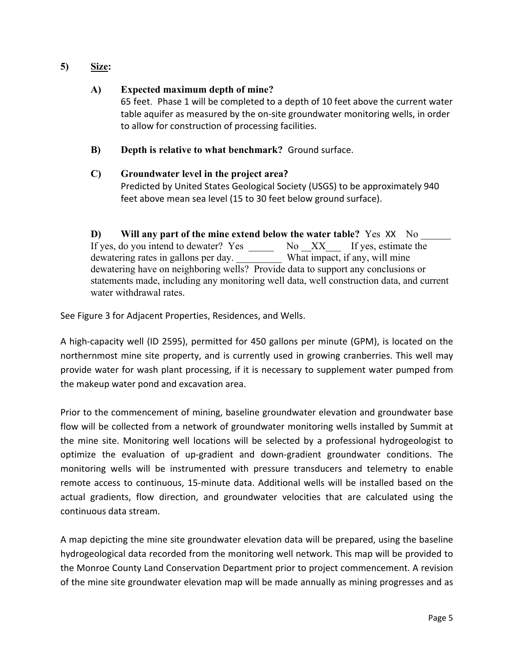## **5) Size:**

### **A) Expected maximum depth of mine?**

65 feet. Phase 1 will be completed to a depth of 10 feet above the current water table aquifer as measured by the on-site groundwater monitoring wells, in order to allow for construction of processing facilities.

**B) Depth is relative to what benchmark?** Ground surface.

### **C) Groundwater level in the project area?**

Predicted by United States Geological Society (USGS) to be approximately 940 feet above mean sea level (15 to 30 feet below ground surface).

**D) Will any part of the mine extend below the water table?** Yes XX No \_\_\_\_\_\_ If yes, do you intend to dewater? Yes \_\_\_\_\_\_\_ No \_XX\_\_\_ If yes, estimate the dewatering rates in gallons per day. What impact, if any, will mine dewatering have on neighboring wells? Provide data to support any conclusions or statements made, including any monitoring well data, well construction data, and current water withdrawal rates.

See Figure 3 for Adjacent Properties, Residences, and Wells.

A high-capacity well (ID 2595), permitted for 450 gallons per minute (GPM), is located on the northernmost mine site property, and is currently used in growing cranberries. This well may provide water for wash plant processing, if it is necessary to supplement water pumped from the makeup water pond and excavation area.

Prior to the commencement of mining, baseline groundwater elevation and groundwater base flow will be collected from a network of groundwater monitoring wells installed by Summit at the mine site. Monitoring well locations will be selected by a professional hydrogeologist to optimize the evaluation of up-gradient and down-gradient groundwater conditions. The monitoring wells will be instrumented with pressure transducers and telemetry to enable remote access to continuous, 15-minute data. Additional wells will be installed based on the actual gradients, flow direction, and groundwater velocities that are calculated using the continuous data stream.

A map depicting the mine site groundwater elevation data will be prepared, using the baseline hydrogeological data recorded from the monitoring well network. This map will be provided to the Monroe County Land Conservation Department prior to project commencement. A revision of the mine site groundwater elevation map will be made annually as mining progresses and as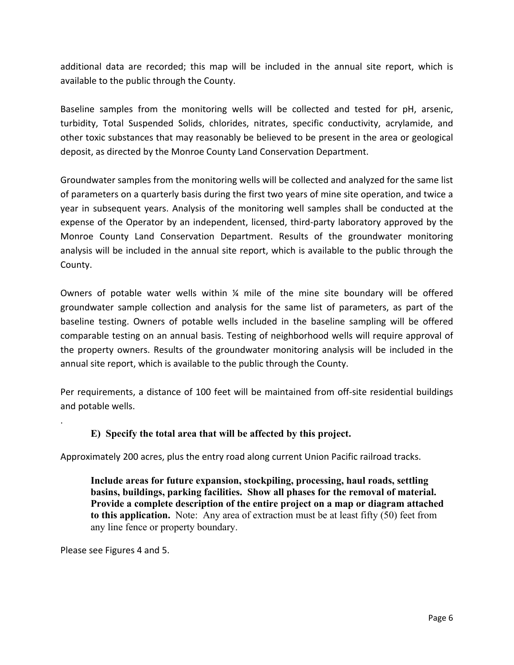additional data are recorded; this map will be included in the annual site report, which is available to the public through the County.

Baseline samples from the monitoring wells will be collected and tested for pH, arsenic, turbidity, Total Suspended Solids, chlorides, nitrates, specific conductivity, acrylamide, and other toxic substances that may reasonably be believed to be present in the area or geological deposit, as directed by the Monroe County Land Conservation Department.

Groundwater samples from the monitoring wells will be collected and analyzed for the same list of parameters on a quarterly basis during the first two years of mine site operation, and twice a year in subsequent years. Analysis of the monitoring well samples shall be conducted at the expense of the Operator by an independent, licensed, third-party laboratory approved by the Monroe County Land Conservation Department. Results of the groundwater monitoring analysis will be included in the annual site report, which is available to the public through the County.

Owners of potable water wells within  $\frac{1}{4}$  mile of the mine site boundary will be offered groundwater sample collection and analysis for the same list of parameters, as part of the baseline testing. Owners of potable wells included in the baseline sampling will be offered comparable testing on an annual basis. Testing of neighborhood wells will require approval of the property owners. Results of the groundwater monitoring analysis will be included in the annual site report, which is available to the public through the County.

Per requirements, a distance of 100 feet will be maintained from off-site residential buildings and potable wells.

## **E) Specify the total area that will be affected by this project.**

Approximately 200 acres, plus the entry road along current Union Pacific railroad tracks.

**Include areas for future expansion, stockpiling, processing, haul roads, settling basins, buildings, parking facilities. Show all phases for the removal of material. Provide a complete description of the entire project on a map or diagram attached to this application.** Note: Any area of extraction must be at least fifty (50) feet from any line fence or property boundary.

Please see Figures 4 and 5.

.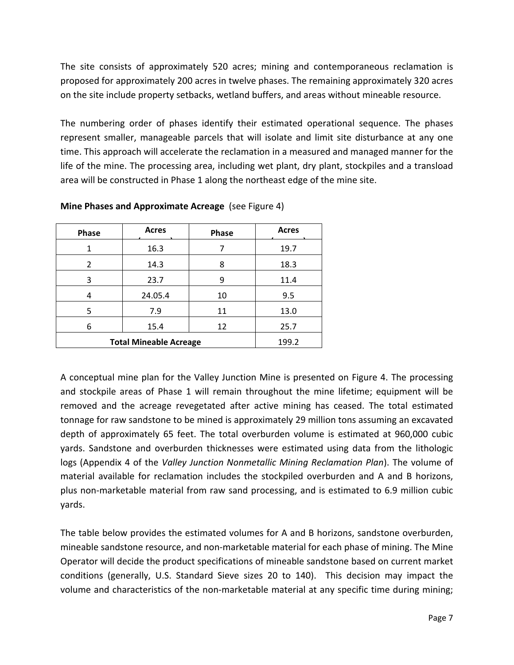The site consists of approximately 520 acres; mining and contemporaneous reclamation is proposed for approximately 200 acres in twelve phases. The remaining approximately 320 acres on the site include property setbacks, wetland buffers, and areas without mineable resource.

The numbering order of phases identify their estimated operational sequence. The phases represent smaller, manageable parcels that will isolate and limit site disturbance at any one time. This approach will accelerate the reclamation in a measured and managed manner for the life of the mine. The processing area, including wet plant, dry plant, stockpiles and a transload area will be constructed in Phase 1 along the northeast edge of the mine site.

| Phase                         | <b>Acres</b> | Phase | <b>Acres</b> |
|-------------------------------|--------------|-------|--------------|
| 1                             | 16.3         |       | 19.7         |
| $\mathfrak{p}$                | 14.3         | 8     | 18.3         |
| 3                             | 23.7         | 9     | 11.4         |
|                               | 24.05.4      | 10    | 9.5          |
| 5                             | 7.9          | 11    | 13.0         |
| 6                             | 15.4         | 12    | 25.7         |
| <b>Total Mineable Acreage</b> | 199.2        |       |              |

**Mine Phases and Approximate Acreage** (see Figure 4)

A conceptual mine plan for the Valley Junction Mine is presented on Figure 4. The processing and stockpile areas of Phase 1 will remain throughout the mine lifetime; equipment will be removed and the acreage revegetated after active mining has ceased. The total estimated tonnage for raw sandstone to be mined is approximately 29 million tons assuming an excavated depth of approximately 65 feet. The total overburden volume is estimated at 960,000 cubic yards. Sandstone and overburden thicknesses were estimated using data from the lithologic logs (Appendix 4 of the *Valley Junction Nonmetallic Mining Reclamation Plan*). The volume of material available for reclamation includes the stockpiled overburden and A and B horizons, plus non-marketable material from raw sand processing, and is estimated to 6.9 million cubic yards.

The table below provides the estimated volumes for A and B horizons, sandstone overburden, mineable sandstone resource, and non-marketable material for each phase of mining. The Mine Operator will decide the product specifications of mineable sandstone based on current market conditions (generally, U.S. Standard Sieve sizes 20 to 140). This decision may impact the volume and characteristics of the non-marketable material at any specific time during mining;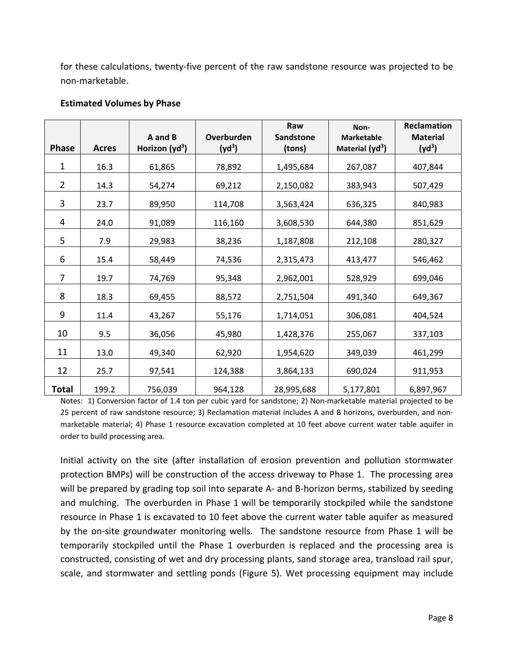for these calculations, twenty-five percent of the raw sandstone resource was projected to be non-marketable.

#### **Estimated Volumes by Phase**

|                |              | A and B                    | Overburden | Raw<br><b>Sandstone</b> | Non-<br><b>Marketable</b> | <b>Reclamation</b><br><b>Material</b> |
|----------------|--------------|----------------------------|------------|-------------------------|---------------------------|---------------------------------------|
| <b>Phase</b>   | <b>Acres</b> | Horizon (yd <sup>3</sup> ) | $(yd^3)$   | (tons)                  | Material $(yd^3)$         | $(yd^3)$                              |
| 1              | 16.3         | 61,865                     | 78,892     | 1,495,684               | 267,087                   | 407,844                               |
| $\overline{2}$ | 14.3         | 54,274                     | 69,212     | 2,150,082               | 383,943                   | 507,429                               |
| 3              | 23.7         | 89,950                     | 114,708    | 3,563,424               | 636,325                   | 840,983                               |
| 4              | 24.0         | 91,089                     | 116,160    | 3,608,530               | 644,380                   | 851,629                               |
| 5              | 7.9          | 29,983                     | 38,236     | 1,187,808               | 212,108                   | 280,327                               |
| 6              | 15.4         | 58,449                     | 74,536     | 2,315,473               | 413,477                   | 546,462                               |
| 7              | 19.7         | 74,769                     | 95,348     | 2,962,001               | 528,929                   | 699,046                               |
| 8              | 18.3         | 69,455                     | 88,572     | 2,751,504               | 491,340                   | 649,367                               |
| 9              | 11.4         | 43,267                     | 55,176     | 1,714,051               | 306,081                   | 404,524                               |
| 10             | 9.5          | 36,056                     | 45,980     | 1,428,376               | 255,067                   | 337,103                               |
| 11             | 13.0         | 49,340                     | 62,920     | 1,954,620               | 349,039                   | 461,299                               |
| 12             | 25.7         | 97,541                     | 124,388    | 3,864,133               | 690,024                   | 911,953                               |
| Total          | 199.2        | 756,039                    | 964,128    | 28,995,688              | 5,177,801                 | 6,897,967                             |

Notes: 1) Conversion factor of 1.4 ton per cubic yard for sandstone; 2) Non-marketable material projected to be 25 percent of raw sandstone resource; 3) Reclamation material includes A and B horizons, overburden, and nonmarketable material; 4) Phase 1 resource excavation completed at 10 feet above current water table aquifer in order to build processing area.

Initial activity on the site (after installation of erosion prevention and pollution stormwater protection BMPs) will be construction of the access driveway to Phase 1. The processing area will be prepared by grading top soil into separate A- and B-horizon berms, stabilized by seeding and mulching. The overburden in Phase 1 will be temporarily stockpiled while the sandstone resource in Phase 1 is excavated to 10 feet above the current water table aquifer as measured by the on-site groundwater monitoring wells. The sandstone resource from Phase 1 will be temporarily stockpiled until the Phase 1 overburden is replaced and the processing area is constructed, consisting of wet and dry processing plants, sand storage area, transload rail spur, scale, and stormwater and settling ponds (Figure 5). Wet processing equipment may include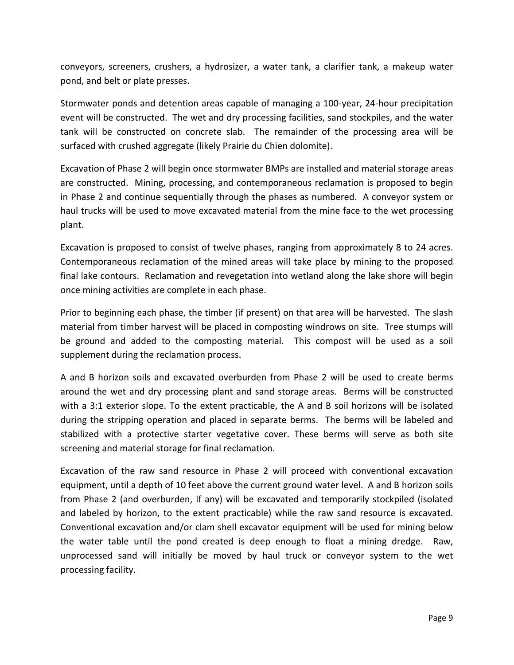conveyors, screeners, crushers, a hydrosizer, a water tank, a clarifier tank, a makeup water pond, and belt or plate presses.

Stormwater ponds and detention areas capable of managing a 100-year, 24-hour precipitation event will be constructed. The wet and dry processing facilities, sand stockpiles, and the water tank will be constructed on concrete slab. The remainder of the processing area will be surfaced with crushed aggregate (likely Prairie du Chien dolomite).

Excavation of Phase 2 will begin once stormwater BMPs are installed and material storage areas are constructed. Mining, processing, and contemporaneous reclamation is proposed to begin in Phase 2 and continue sequentially through the phases as numbered. A conveyor system or haul trucks will be used to move excavated material from the mine face to the wet processing plant.

Excavation is proposed to consist of twelve phases, ranging from approximately 8 to 24 acres. Contemporaneous reclamation of the mined areas will take place by mining to the proposed final lake contours. Reclamation and revegetation into wetland along the lake shore will begin once mining activities are complete in each phase.

Prior to beginning each phase, the timber (if present) on that area will be harvested. The slash material from timber harvest will be placed in composting windrows on site. Tree stumps will be ground and added to the composting material. This compost will be used as a soil supplement during the reclamation process.

A and B horizon soils and excavated overburden from Phase 2 will be used to create berms around the wet and dry processing plant and sand storage areas. Berms will be constructed with a 3:1 exterior slope. To the extent practicable, the A and B soil horizons will be isolated during the stripping operation and placed in separate berms. The berms will be labeled and stabilized with a protective starter vegetative cover. These berms will serve as both site screening and material storage for final reclamation.

Excavation of the raw sand resource in Phase 2 will proceed with conventional excavation equipment, until a depth of 10 feet above the current ground water level. A and B horizon soils from Phase 2 (and overburden, if any) will be excavated and temporarily stockpiled (isolated and labeled by horizon, to the extent practicable) while the raw sand resource is excavated. Conventional excavation and/or clam shell excavator equipment will be used for mining below the water table until the pond created is deep enough to float a mining dredge. Raw, unprocessed sand will initially be moved by haul truck or conveyor system to the wet processing facility.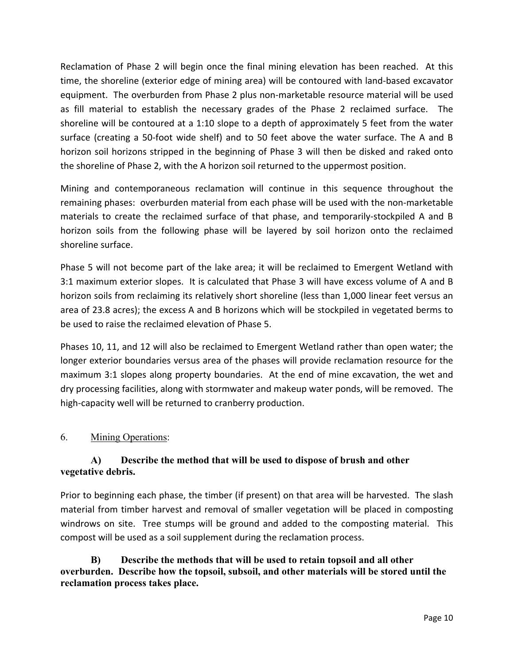Reclamation of Phase 2 will begin once the final mining elevation has been reached. At this time, the shoreline (exterior edge of mining area) will be contoured with land-based excavator equipment. The overburden from Phase 2 plus non-marketable resource material will be used as fill material to establish the necessary grades of the Phase 2 reclaimed surface. The shoreline will be contoured at a 1:10 slope to a depth of approximately 5 feet from the water surface (creating a 50-foot wide shelf) and to 50 feet above the water surface. The A and B horizon soil horizons stripped in the beginning of Phase 3 will then be disked and raked onto the shoreline of Phase 2, with the A horizon soil returned to the uppermost position.

Mining and contemporaneous reclamation will continue in this sequence throughout the remaining phases: overburden material from each phase will be used with the non-marketable materials to create the reclaimed surface of that phase, and temporarily-stockpiled A and B horizon soils from the following phase will be layered by soil horizon onto the reclaimed shoreline surface.

Phase 5 will not become part of the lake area; it will be reclaimed to Emergent Wetland with 3:1 maximum exterior slopes. It is calculated that Phase 3 will have excess volume of A and B horizon soils from reclaiming its relatively short shoreline (less than 1,000 linear feet versus an area of 23.8 acres); the excess A and B horizons which will be stockpiled in vegetated berms to be used to raise the reclaimed elevation of Phase 5.

Phases 10, 11, and 12 will also be reclaimed to Emergent Wetland rather than open water; the longer exterior boundaries versus area of the phases will provide reclamation resource for the maximum 3:1 slopes along property boundaries. At the end of mine excavation, the wet and dry processing facilities, along with stormwater and makeup water ponds, will be removed. The high-capacity well will be returned to cranberry production.

## 6. Mining Operations:

## **A) Describe the method that will be used to dispose of brush and other vegetative debris.**

Prior to beginning each phase, the timber (if present) on that area will be harvested. The slash material from timber harvest and removal of smaller vegetation will be placed in composting windrows on site. Tree stumps will be ground and added to the composting material. This compost will be used as a soil supplement during the reclamation process.

**B) Describe the methods that will be used to retain topsoil and all other overburden. Describe how the topsoil, subsoil, and other materials will be stored until the reclamation process takes place.**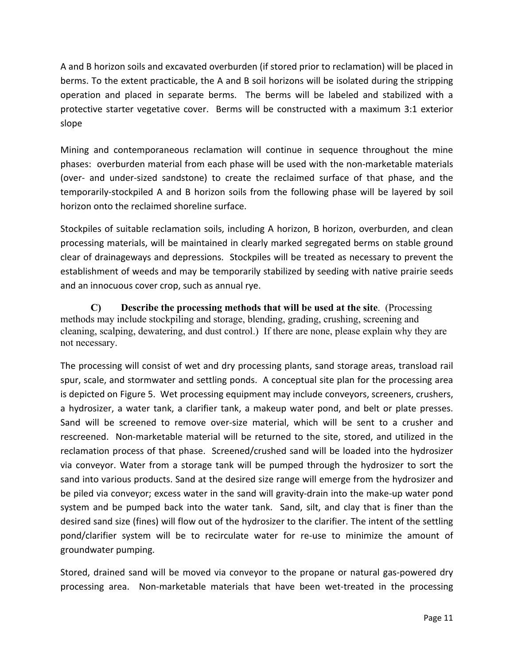A and B horizon soils and excavated overburden (if stored prior to reclamation) will be placed in berms. To the extent practicable, the A and B soil horizons will be isolated during the stripping operation and placed in separate berms. The berms will be labeled and stabilized with a protective starter vegetative cover. Berms will be constructed with a maximum 3:1 exterior slope

Mining and contemporaneous reclamation will continue in sequence throughout the mine phases: overburden material from each phase will be used with the non-marketable materials (over- and under-sized sandstone) to create the reclaimed surface of that phase, and the temporarily-stockpiled A and B horizon soils from the following phase will be layered by soil horizon onto the reclaimed shoreline surface.

Stockpiles of suitable reclamation soils, including A horizon, B horizon, overburden, and clean processing materials, will be maintained in clearly marked segregated berms on stable ground clear of drainageways and depressions. Stockpiles will be treated as necessary to prevent the establishment of weeds and may be temporarily stabilized by seeding with native prairie seeds and an innocuous cover crop, such as annual rye.

**C) Describe the processing methods that will be used at the site**. (Processing methods may include stockpiling and storage, blending, grading, crushing, screening and cleaning, scalping, dewatering, and dust control.) If there are none, please explain why they are not necessary.

The processing will consist of wet and dry processing plants, sand storage areas, transload rail spur, scale, and stormwater and settling ponds. A conceptual site plan for the processing area is depicted on Figure 5. Wet processing equipment may include conveyors, screeners, crushers, a hydrosizer, a water tank, a clarifier tank, a makeup water pond, and belt or plate presses. Sand will be screened to remove over-size material, which will be sent to a crusher and rescreened. Non-marketable material will be returned to the site, stored, and utilized in the reclamation process of that phase. Screened/crushed sand will be loaded into the hydrosizer via conveyor. Water from a storage tank will be pumped through the hydrosizer to sort the sand into various products. Sand at the desired size range will emerge from the hydrosizer and be piled via conveyor; excess water in the sand will gravity-drain into the make-up water pond system and be pumped back into the water tank. Sand, silt, and clay that is finer than the desired sand size (fines) will flow out of the hydrosizer to the clarifier. The intent of the settling pond/clarifier system will be to recirculate water for re-use to minimize the amount of groundwater pumping.

Stored, drained sand will be moved via conveyor to the propane or natural gas-powered dry processing area. Non-marketable materials that have been wet-treated in the processing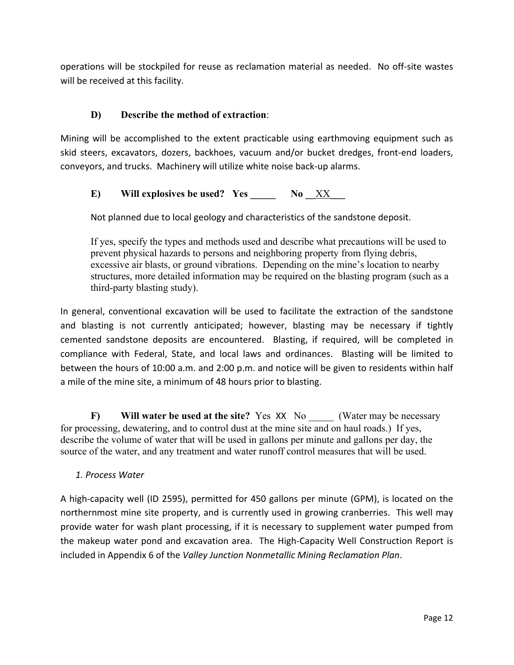operations will be stockpiled for reuse as reclamation material as needed. No off-site wastes will be received at this facility.

## **D) Describe the method of extraction**:

Mining will be accomplished to the extent practicable using earthmoving equipment such as skid steers, excavators, dozers, backhoes, vacuum and/or bucket dredges, front-end loaders, conveyors, and trucks. Machinery will utilize white noise back-up alarms.

## E) Will explosives be used? Yes No XX

Not planned due to local geology and characteristics of the sandstone deposit.

If yes, specify the types and methods used and describe what precautions will be used to prevent physical hazards to persons and neighboring property from flying debris, excessive air blasts, or ground vibrations. Depending on the mine's location to nearby structures, more detailed information may be required on the blasting program (such as a third-party blasting study).

In general, conventional excavation will be used to facilitate the extraction of the sandstone and blasting is not currently anticipated; however, blasting may be necessary if tightly cemented sandstone deposits are encountered. Blasting, if required, will be completed in compliance with Federal, State, and local laws and ordinances. Blasting will be limited to between the hours of 10:00 a.m. and 2:00 p.m. and notice will be given to residents within half a mile of the mine site, a minimum of 48 hours prior to blasting.

**F)** Will water be used at the site? Yes XX No (Water may be necessary for processing, dewatering, and to control dust at the mine site and on haul roads.) If yes, describe the volume of water that will be used in gallons per minute and gallons per day, the source of the water, and any treatment and water runoff control measures that will be used.

#### *1. Process Water*

A high-capacity well (ID 2595), permitted for 450 gallons per minute (GPM), is located on the northernmost mine site property, and is currently used in growing cranberries. This well may provide water for wash plant processing, if it is necessary to supplement water pumped from the makeup water pond and excavation area. The High-Capacity Well Construction Report is included in Appendix 6 of the *Valley Junction Nonmetallic Mining Reclamation Plan*.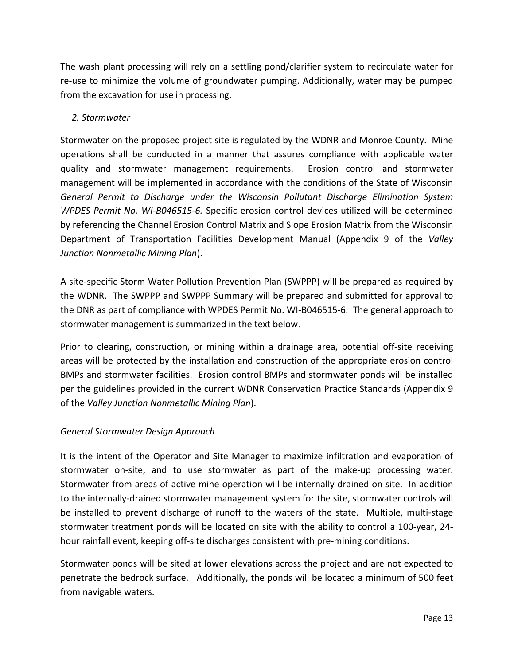The wash plant processing will rely on a settling pond/clarifier system to recirculate water for re-use to minimize the volume of groundwater pumping. Additionally, water may be pumped from the excavation for use in processing.

## *2. Stormwater*

Stormwater on the proposed project site is regulated by the WDNR and Monroe County. Mine operations shall be conducted in a manner that assures compliance with applicable water quality and stormwater management requirements. Erosion control and stormwater management will be implemented in accordance with the conditions of the State of Wisconsin *General Permit to Discharge under the Wisconsin Pollutant Discharge Elimination System WPDES Permit No. WI-B046515-6.* Specific erosion control devices utilized will be determined by referencing the Channel Erosion Control Matrix and Slope Erosion Matrix from the Wisconsin Department of Transportation Facilities Development Manual (Appendix 9 of the *Valley Junction Nonmetallic Mining Plan*).

A site-specific Storm Water Pollution Prevention Plan (SWPPP) will be prepared as required by the WDNR. The SWPPP and SWPPP Summary will be prepared and submitted for approval to the DNR as part of compliance with WPDES Permit No. WI-B046515-6. The general approach to stormwater management is summarized in the text below.

Prior to clearing, construction, or mining within a drainage area, potential off-site receiving areas will be protected by the installation and construction of the appropriate erosion control BMPs and stormwater facilities. Erosion control BMPs and stormwater ponds will be installed per the guidelines provided in the current WDNR Conservation Practice Standards (Appendix 9 of the *Valley Junction Nonmetallic Mining Plan*).

## *General Stormwater Design Approach*

It is the intent of the Operator and Site Manager to maximize infiltration and evaporation of stormwater on-site, and to use stormwater as part of the make-up processing water. Stormwater from areas of active mine operation will be internally drained on site. In addition to the internally-drained stormwater management system for the site, stormwater controls will be installed to prevent discharge of runoff to the waters of the state. Multiple, multi-stage stormwater treatment ponds will be located on site with the ability to control a 100-year, 24 hour rainfall event, keeping off-site discharges consistent with pre-mining conditions.

Stormwater ponds will be sited at lower elevations across the project and are not expected to penetrate the bedrock surface. Additionally, the ponds will be located a minimum of 500 feet from navigable waters.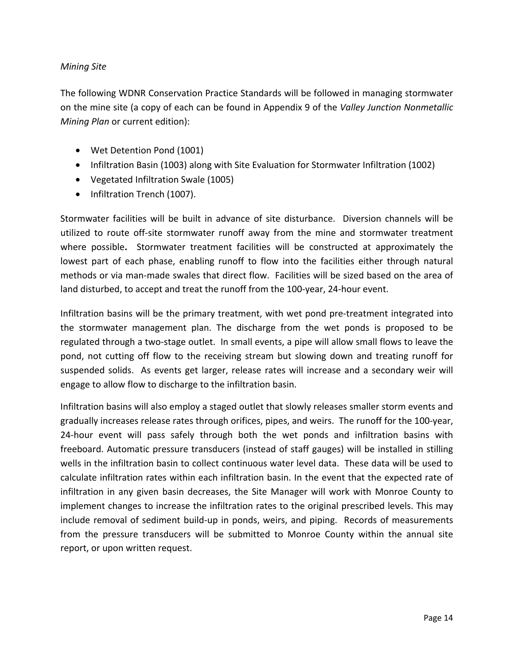#### *Mining Site*

The following WDNR Conservation Practice Standards will be followed in managing stormwater on the mine site (a copy of each can be found in Appendix 9 of the *Valley Junction Nonmetallic Mining Plan* or current edition):

- Wet Detention Pond (1001)
- Infiltration Basin (1003) along with Site Evaluation for Stormwater Infiltration (1002)
- Vegetated Infiltration Swale (1005)
- Infiltration Trench (1007).

Stormwater facilities will be built in advance of site disturbance. Diversion channels will be utilized to route off-site stormwater runoff away from the mine and stormwater treatment where possible**.** Stormwater treatment facilities will be constructed at approximately the lowest part of each phase, enabling runoff to flow into the facilities either through natural methods or via man-made swales that direct flow. Facilities will be sized based on the area of land disturbed, to accept and treat the runoff from the 100-year, 24-hour event.

Infiltration basins will be the primary treatment, with wet pond pre-treatment integrated into the stormwater management plan. The discharge from the wet ponds is proposed to be regulated through a two-stage outlet. In small events, a pipe will allow small flows to leave the pond, not cutting off flow to the receiving stream but slowing down and treating runoff for suspended solids. As events get larger, release rates will increase and a secondary weir will engage to allow flow to discharge to the infiltration basin.

Infiltration basins will also employ a staged outlet that slowly releases smaller storm events and gradually increases release rates through orifices, pipes, and weirs. The runoff for the 100-year, 24-hour event will pass safely through both the wet ponds and infiltration basins with freeboard. Automatic pressure transducers (instead of staff gauges) will be installed in stilling wells in the infiltration basin to collect continuous water level data. These data will be used to calculate infiltration rates within each infiltration basin. In the event that the expected rate of infiltration in any given basin decreases, the Site Manager will work with Monroe County to implement changes to increase the infiltration rates to the original prescribed levels. This may include removal of sediment build-up in ponds, weirs, and piping. Records of measurements from the pressure transducers will be submitted to Monroe County within the annual site report, or upon written request.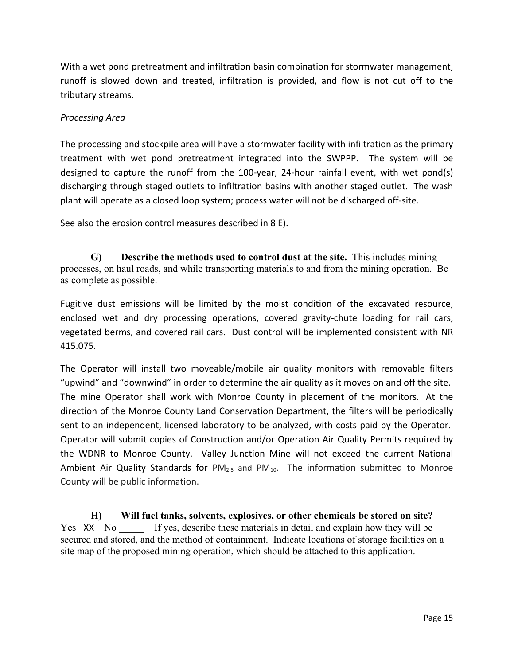With a wet pond pretreatment and infiltration basin combination for stormwater management, runoff is slowed down and treated, infiltration is provided, and flow is not cut off to the tributary streams.

### *Processing Area*

The processing and stockpile area will have a stormwater facility with infiltration as the primary treatment with wet pond pretreatment integrated into the SWPPP. The system will be designed to capture the runoff from the 100-year, 24-hour rainfall event, with wet pond(s) discharging through staged outlets to infiltration basins with another staged outlet. The wash plant will operate as a closed loop system; process water will not be discharged off-site.

See also the erosion control measures described in 8 E).

**G) Describe the methods used to control dust at the site.** This includes mining processes, on haul roads, and while transporting materials to and from the mining operation. Be as complete as possible.

Fugitive dust emissions will be limited by the moist condition of the excavated resource, enclosed wet and dry processing operations, covered gravity-chute loading for rail cars, vegetated berms, and covered rail cars. Dust control will be implemented consistent with NR 415.075.

The Operator will install two moveable/mobile air quality monitors with removable filters "upwind" and "downwind" in order to determine the air quality as it moves on and off the site. The mine Operator shall work with Monroe County in placement of the monitors. At the direction of the Monroe County Land Conservation Department, the filters will be periodically sent to an independent, licensed laboratory to be analyzed, with costs paid by the Operator. Operator will submit copies of Construction and/or Operation Air Quality Permits required by the WDNR to Monroe County. Valley Junction Mine will not exceed the current National Ambient Air Quality Standards for  $PM_{2.5}$  and  $PM_{10}$ . The information submitted to Monroe County will be public information.

 **H) Will fuel tanks, solvents, explosives, or other chemicals be stored on site?**  Yes XX No If yes, describe these materials in detail and explain how they will be secured and stored, and the method of containment. Indicate locations of storage facilities on a site map of the proposed mining operation, which should be attached to this application.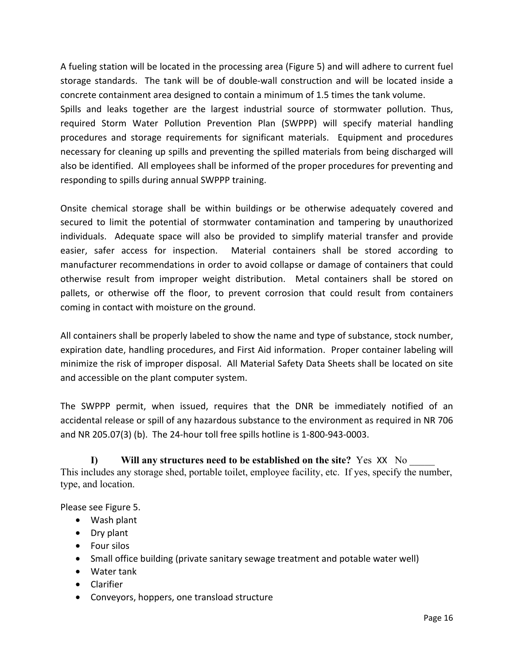A fueling station will be located in the processing area (Figure 5) and will adhere to current fuel storage standards. The tank will be of double-wall construction and will be located inside a concrete containment area designed to contain a minimum of 1.5 times the tank volume.

Spills and leaks together are the largest industrial source of stormwater pollution. Thus, required Storm Water Pollution Prevention Plan (SWPPP) will specify material handling procedures and storage requirements for significant materials. Equipment and procedures necessary for cleaning up spills and preventing the spilled materials from being discharged will also be identified. All employees shall be informed of the proper procedures for preventing and responding to spills during annual SWPPP training.

Onsite chemical storage shall be within buildings or be otherwise adequately covered and secured to limit the potential of stormwater contamination and tampering by unauthorized individuals. Adequate space will also be provided to simplify material transfer and provide easier, safer access for inspection. Material containers shall be stored according to manufacturer recommendations in order to avoid collapse or damage of containers that could otherwise result from improper weight distribution. Metal containers shall be stored on pallets, or otherwise off the floor, to prevent corrosion that could result from containers coming in contact with moisture on the ground.

All containers shall be properly labeled to show the name and type of substance, stock number, expiration date, handling procedures, and First Aid information. Proper container labeling will minimize the risk of improper disposal. All Material Safety Data Sheets shall be located on site and accessible on the plant computer system.

The SWPPP permit, when issued, requires that the DNR be immediately notified of an accidental release or spill of any hazardous substance to the environment as required in NR 706 and NR 205.07(3) (b). The 24-hour toll free spills hotline is 1-800-943-0003.

**I) Will any structures need to be established on the site?** Yes XX No \_\_\_\_\_ This includes any storage shed, portable toilet, employee facility, etc. If yes, specify the number, type, and location.

Please see Figure 5.

- Wash plant
- Dry plant
- Four silos
- Small office building (private sanitary sewage treatment and potable water well)
- Water tank
- Clarifier
- Conveyors, hoppers, one transload structure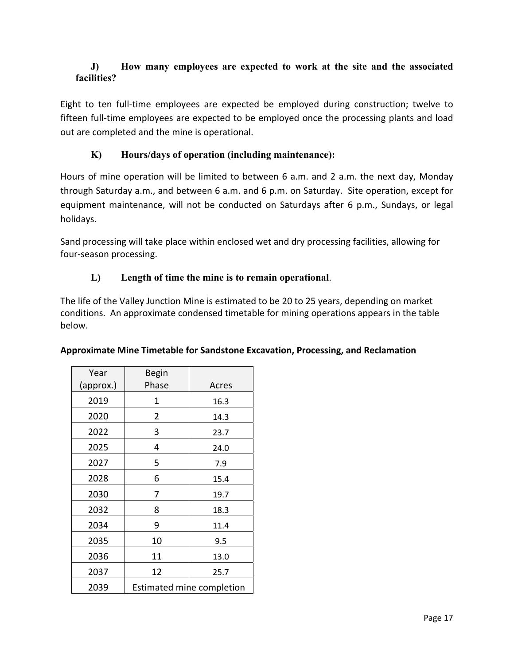## **J) How many employees are expected to work at the site and the associated facilities?**

Eight to ten full-time employees are expected be employed during construction; twelve to fifteen full-time employees are expected to be employed once the processing plants and load out are completed and the mine is operational.

## **K) Hours/days of operation (including maintenance):**

Hours of mine operation will be limited to between 6 a.m. and 2 a.m. the next day, Monday through Saturday a.m., and between 6 a.m. and 6 p.m. on Saturday. Site operation, except for equipment maintenance, will not be conducted on Saturdays after 6 p.m., Sundays, or legal holidays.

Sand processing will take place within enclosed wet and dry processing facilities, allowing for four-season processing.

## **L) Length of time the mine is to remain operational**.

The life of the Valley Junction Mine is estimated to be 20 to 25 years, depending on market conditions. An approximate condensed timetable for mining operations appears in the table below.

| Year      | <b>Begin</b> |                                  |
|-----------|--------------|----------------------------------|
| (approx.) | Phase        | Acres                            |
| 2019      | 1            | 16.3                             |
| 2020      | 2            | 14.3                             |
| 2022      | 3            | 23.7                             |
| 2025      | 4            | 24.0                             |
| 2027      | 5            | 7.9                              |
| 2028      | 6            | 15.4                             |
| 2030      | 7            | 19.7                             |
| 2032      | 8            | 18.3                             |
| 2034      | 9            | 11.4                             |
| 2035      | 10           | 9.5                              |
| 2036      | 11           | 13.0                             |
| 2037      | 12           | 25.7                             |
| 2039      |              | <b>Estimated mine completion</b> |

## **Approximate Mine Timetable for Sandstone Excavation, Processing, and Reclamation**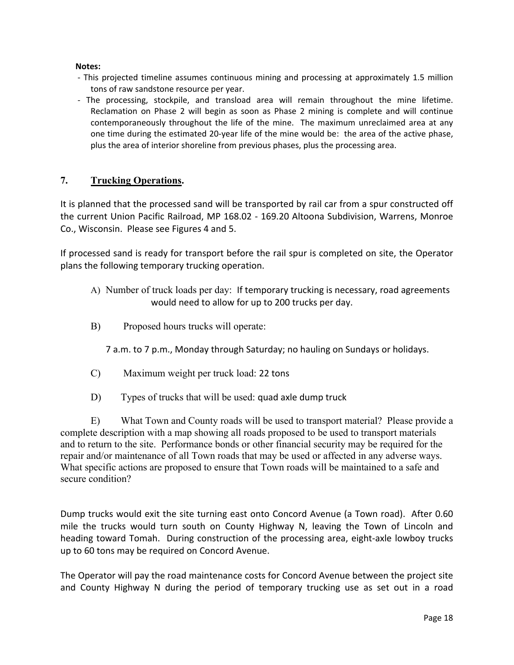#### **Notes:**

- This projected timeline assumes continuous mining and processing at approximately 1.5 million tons of raw sandstone resource per year.
- The processing, stockpile, and transload area will remain throughout the mine lifetime. Reclamation on Phase 2 will begin as soon as Phase 2 mining is complete and will continue contemporaneously throughout the life of the mine. The maximum unreclaimed area at any one time during the estimated 20-year life of the mine would be: the area of the active phase, plus the area of interior shoreline from previous phases, plus the processing area.

### **7. Trucking Operations.**

It is planned that the processed sand will be transported by rail car from a spur constructed off the current Union Pacific Railroad, MP 168.02 - 169.20 Altoona Subdivision, Warrens, Monroe Co., Wisconsin. Please see Figures 4 and 5.

If processed sand is ready for transport before the rail spur is completed on site, the Operator plans the following temporary trucking operation.

- A) Number of truck loads per day: If temporary trucking is necessary, road agreements would need to allow for up to 200 trucks per day.
- B) Proposed hours trucks will operate:

7 a.m. to 7 p.m., Monday through Saturday; no hauling on Sundays or holidays.

- C) Maximum weight per truck load: 22 tons
- D) Types of trucks that will be used: quad axle dump truck

 E) What Town and County roads will be used to transport material? Please provide a complete description with a map showing all roads proposed to be used to transport materials and to return to the site. Performance bonds or other financial security may be required for the repair and/or maintenance of all Town roads that may be used or affected in any adverse ways. What specific actions are proposed to ensure that Town roads will be maintained to a safe and secure condition?

Dump trucks would exit the site turning east onto Concord Avenue (a Town road). After 0.60 mile the trucks would turn south on County Highway N, leaving the Town of Lincoln and heading toward Tomah. During construction of the processing area, eight-axle lowboy trucks up to 60 tons may be required on Concord Avenue.

The Operator will pay the road maintenance costs for Concord Avenue between the project site and County Highway N during the period of temporary trucking use as set out in a road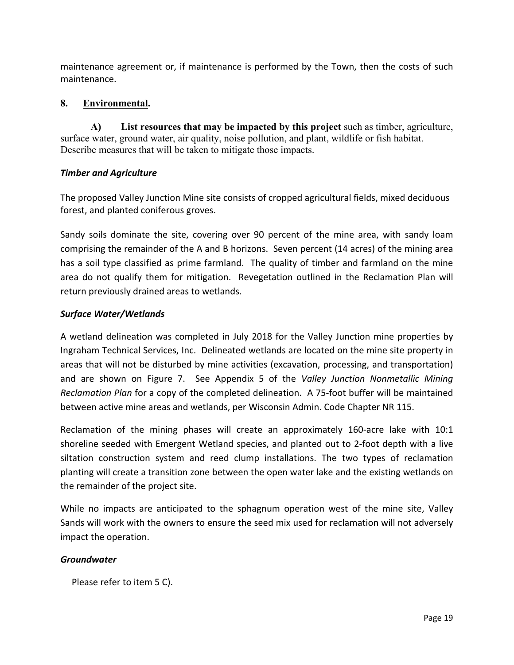maintenance agreement or, if maintenance is performed by the Town, then the costs of such maintenance.

## **8. Environmental.**

**A) List resources that may be impacted by this project** such as timber, agriculture, surface water, ground water, air quality, noise pollution, and plant, wildlife or fish habitat. Describe measures that will be taken to mitigate those impacts.

#### *Timber and Agriculture*

The proposed Valley Junction Mine site consists of cropped agricultural fields, mixed deciduous forest, and planted coniferous groves.

Sandy soils dominate the site, covering over 90 percent of the mine area, with sandy loam comprising the remainder of the A and B horizons. Seven percent (14 acres) of the mining area has a soil type classified as prime farmland. The quality of timber and farmland on the mine area do not qualify them for mitigation. Revegetation outlined in the Reclamation Plan will return previously drained areas to wetlands.

#### *Surface Water/Wetlands*

A wetland delineation was completed in July 2018 for the Valley Junction mine properties by Ingraham Technical Services, Inc. Delineated wetlands are located on the mine site property in areas that will not be disturbed by mine activities (excavation, processing, and transportation) and are shown on Figure 7. See Appendix 5 of the *Valley Junction Nonmetallic Mining Reclamation Plan* for a copy of the completed delineation. A 75-foot buffer will be maintained between active mine areas and wetlands, per Wisconsin Admin. Code Chapter NR 115.

Reclamation of the mining phases will create an approximately 160-acre lake with 10:1 shoreline seeded with Emergent Wetland species, and planted out to 2-foot depth with a live siltation construction system and reed clump installations. The two types of reclamation planting will create a transition zone between the open water lake and the existing wetlands on the remainder of the project site.

While no impacts are anticipated to the sphagnum operation west of the mine site, Valley Sands will work with the owners to ensure the seed mix used for reclamation will not adversely impact the operation.

#### *Groundwater*

Please refer to item 5 C).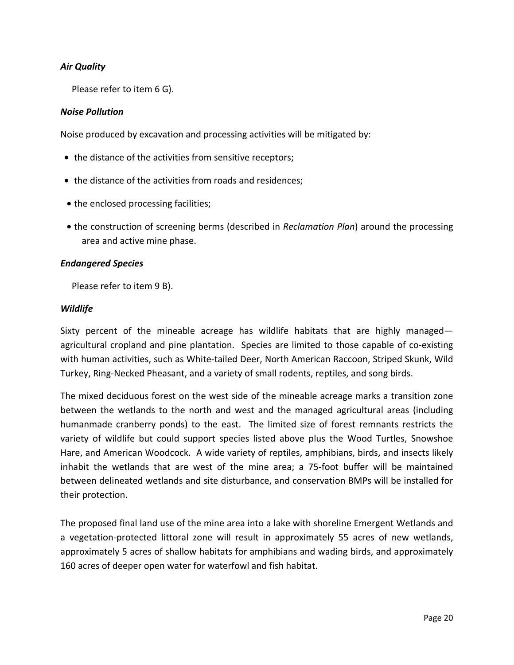## *Air Quality*

Please refer to item 6 G).

#### *Noise Pollution*

Noise produced by excavation and processing activities will be mitigated by:

- the distance of the activities from sensitive receptors;
- the distance of the activities from roads and residences;
- the enclosed processing facilities;
- the construction of screening berms (described in *Reclamation Plan*) around the processing area and active mine phase.

#### *Endangered Species*

Please refer to item 9 B).

#### *Wildlife*

Sixty percent of the mineable acreage has wildlife habitats that are highly managed agricultural cropland and pine plantation. Species are limited to those capable of co-existing with human activities, such as White-tailed Deer, North American Raccoon, Striped Skunk, Wild Turkey, Ring-Necked Pheasant, and a variety of small rodents, reptiles, and song birds.

The mixed deciduous forest on the west side of the mineable acreage marks a transition zone between the wetlands to the north and west and the managed agricultural areas (including humanmade cranberry ponds) to the east. The limited size of forest remnants restricts the variety of wildlife but could support species listed above plus the Wood Turtles, Snowshoe Hare, and American Woodcock. A wide variety of reptiles, amphibians, birds, and insects likely inhabit the wetlands that are west of the mine area; a 75-foot buffer will be maintained between delineated wetlands and site disturbance, and conservation BMPs will be installed for their protection.

The proposed final land use of the mine area into a lake with shoreline Emergent Wetlands and a vegetation-protected littoral zone will result in approximately 55 acres of new wetlands, approximately 5 acres of shallow habitats for amphibians and wading birds, and approximately 160 acres of deeper open water for waterfowl and fish habitat.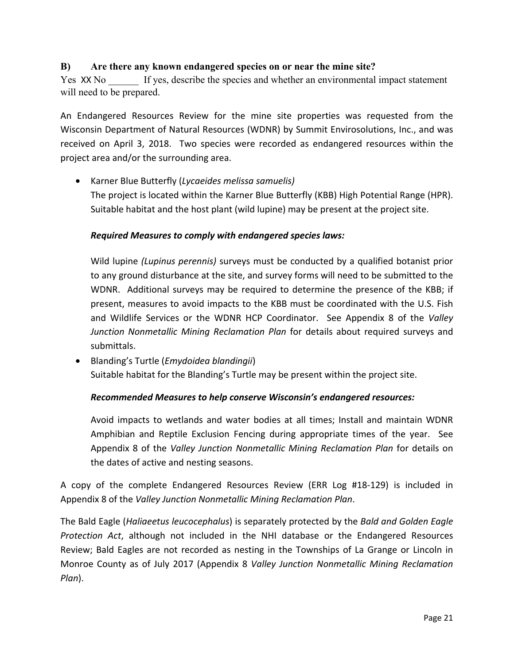## **B) Are there any known endangered species on or near the mine site?**

Yes XX No If yes, describe the species and whether an environmental impact statement will need to be prepared.

An Endangered Resources Review for the mine site properties was requested from the Wisconsin Department of Natural Resources (WDNR) by Summit Envirosolutions, Inc., and was received on April 3, 2018. Two species were recorded as endangered resources within the project area and/or the surrounding area.

• Karner Blue Butterfly (*Lycaeides melissa samuelis)*  The project is located within the Karner Blue Butterfly (KBB) High Potential Range (HPR). Suitable habitat and the host plant (wild lupine) may be present at the project site.

#### *Required Measures to comply with endangered species laws:*

Wild lupine *(Lupinus perennis)* surveys must be conducted by a qualified botanist prior to any ground disturbance at the site, and survey forms will need to be submitted to the WDNR. Additional surveys may be required to determine the presence of the KBB; if present, measures to avoid impacts to the KBB must be coordinated with the U.S. Fish and Wildlife Services or the WDNR HCP Coordinator. See Appendix 8 of the *Valley Junction Nonmetallic Mining Reclamation Plan* for details about required surveys and submittals.

• Blanding's Turtle (*Emydoidea blandingii*) Suitable habitat for the Blanding's Turtle may be present within the project site.

#### *Recommended Measures to help conserve Wisconsin's endangered resources:*

Avoid impacts to wetlands and water bodies at all times; Install and maintain WDNR Amphibian and Reptile Exclusion Fencing during appropriate times of the year. See Appendix 8 of the *Valley Junction Nonmetallic Mining Reclamation Plan* for details on the dates of active and nesting seasons.

A copy of the complete Endangered Resources Review (ERR Log #18-129) is included in Appendix 8 of the *Valley Junction Nonmetallic Mining Reclamation Plan*.

The Bald Eagle (*Haliaeetus leucocephalus*) is separately protected by the *Bald and Golden Eagle Protection Act*, although not included in the NHI database or the Endangered Resources Review; Bald Eagles are not recorded as nesting in the Townships of La Grange or Lincoln in Monroe County as of July 2017 (Appendix 8 *Valley Junction Nonmetallic Mining Reclamation Plan*).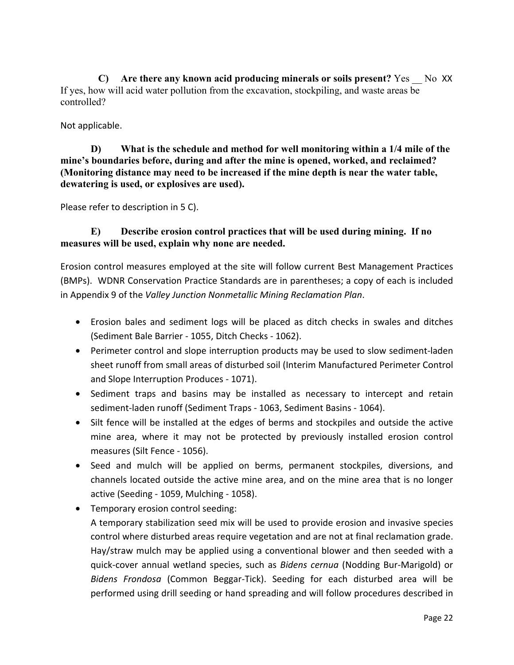**C) Are there any known acid producing minerals or soils present?** Yes \_\_ No XX If yes, how will acid water pollution from the excavation, stockpiling, and waste areas be controlled?

Not applicable.

**D) What is the schedule and method for well monitoring within a 1/4 mile of the mine's boundaries before, during and after the mine is opened, worked, and reclaimed? (Monitoring distance may need to be increased if the mine depth is near the water table, dewatering is used, or explosives are used).** 

Please refer to description in 5 C).

## **E) Describe erosion control practices that will be used during mining. If no measures will be used, explain why none are needed.**

Erosion control measures employed at the site will follow current Best Management Practices (BMPs). WDNR Conservation Practice Standards are in parentheses; a copy of each is included in Appendix 9 of the *Valley Junction Nonmetallic Mining Reclamation Plan*.

- Erosion bales and sediment logs will be placed as ditch checks in swales and ditches (Sediment Bale Barrier - 1055, Ditch Checks - 1062).
- Perimeter control and slope interruption products may be used to slow sediment-laden sheet runoff from small areas of disturbed soil (Interim Manufactured Perimeter Control and Slope Interruption Produces - 1071).
- Sediment traps and basins may be installed as necessary to intercept and retain sediment-laden runoff (Sediment Traps - 1063, Sediment Basins - 1064).
- Silt fence will be installed at the edges of berms and stockpiles and outside the active mine area, where it may not be protected by previously installed erosion control measures (Silt Fence - 1056).
- Seed and mulch will be applied on berms, permanent stockpiles, diversions, and channels located outside the active mine area, and on the mine area that is no longer active (Seeding - 1059, Mulching - 1058).
- Temporary erosion control seeding: A temporary stabilization seed mix will be used to provide erosion and invasive species control where disturbed areas require vegetation and are not at final reclamation grade. Hay/straw mulch may be applied using a conventional blower and then seeded with a quick-cover annual wetland species, such as *Bidens cernua* (Nodding Bur-Marigold) or *Bidens Frondosa* (Common Beggar-Tick). Seeding for each disturbed area will be performed using drill seeding or hand spreading and will follow procedures described in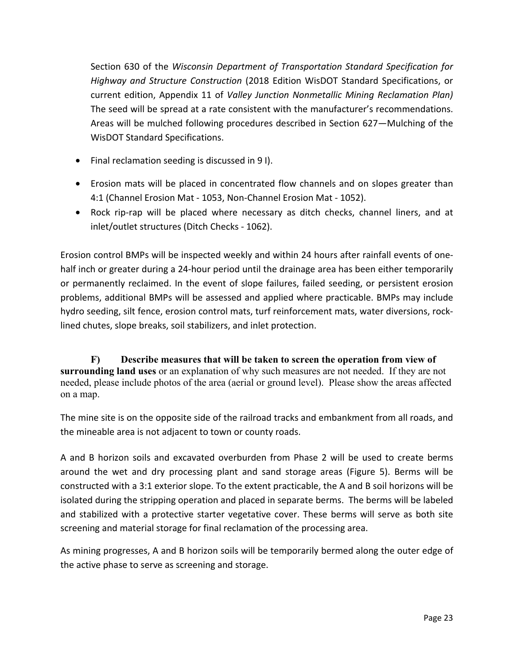Section 630 of the *Wisconsin Department of Transportation Standard Specification for Highway and Structure Construction* (2018 Edition WisDOT Standard Specifications, or current edition, Appendix 11 of *Valley Junction Nonmetallic Mining Reclamation Plan)* The seed will be spread at a rate consistent with the manufacturer's recommendations. Areas will be mulched following procedures described in Section 627—Mulching of the WisDOT Standard Specifications.

- Final reclamation seeding is discussed in 9 I).
- Erosion mats will be placed in concentrated flow channels and on slopes greater than 4:1 (Channel Erosion Mat - 1053, Non-Channel Erosion Mat - 1052).
- Rock rip-rap will be placed where necessary as ditch checks, channel liners, and at inlet/outlet structures (Ditch Checks - 1062).

Erosion control BMPs will be inspected weekly and within 24 hours after rainfall events of onehalf inch or greater during a 24-hour period until the drainage area has been either temporarily or permanently reclaimed. In the event of slope failures, failed seeding, or persistent erosion problems, additional BMPs will be assessed and applied where practicable. BMPs may include hydro seeding, silt fence, erosion control mats, turf reinforcement mats, water diversions, rocklined chutes, slope breaks, soil stabilizers, and inlet protection.

**F) Describe measures that will be taken to screen the operation from view of surrounding land uses** or an explanation of why such measures are not needed. If they are not needed, please include photos of the area (aerial or ground level). Please show the areas affected on a map.

The mine site is on the opposite side of the railroad tracks and embankment from all roads, and the mineable area is not adjacent to town or county roads.

A and B horizon soils and excavated overburden from Phase 2 will be used to create berms around the wet and dry processing plant and sand storage areas (Figure 5). Berms will be constructed with a 3:1 exterior slope. To the extent practicable, the A and B soil horizons will be isolated during the stripping operation and placed in separate berms. The berms will be labeled and stabilized with a protective starter vegetative cover. These berms will serve as both site screening and material storage for final reclamation of the processing area.

As mining progresses, A and B horizon soils will be temporarily bermed along the outer edge of the active phase to serve as screening and storage.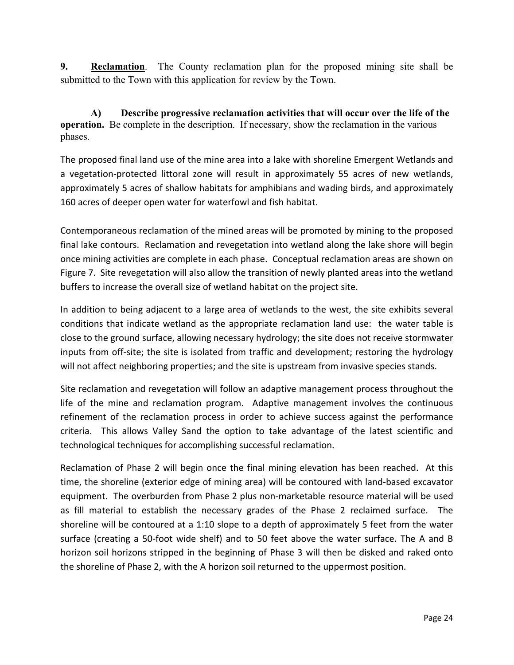**9. Reclamation**. The County reclamation plan for the proposed mining site shall be submitted to the Town with this application for review by the Town.

 **A) Describe progressive reclamation activities that will occur over the life of the operation.** Be complete in the description. If necessary, show the reclamation in the various phases.

The proposed final land use of the mine area into a lake with shoreline Emergent Wetlands and a vegetation-protected littoral zone will result in approximately 55 acres of new wetlands, approximately 5 acres of shallow habitats for amphibians and wading birds, and approximately 160 acres of deeper open water for waterfowl and fish habitat.

Contemporaneous reclamation of the mined areas will be promoted by mining to the proposed final lake contours. Reclamation and revegetation into wetland along the lake shore will begin once mining activities are complete in each phase. Conceptual reclamation areas are shown on Figure 7. Site revegetation will also allow the transition of newly planted areas into the wetland buffers to increase the overall size of wetland habitat on the project site.

In addition to being adjacent to a large area of wetlands to the west, the site exhibits several conditions that indicate wetland as the appropriate reclamation land use: the water table is close to the ground surface, allowing necessary hydrology; the site does not receive stormwater inputs from off-site; the site is isolated from traffic and development; restoring the hydrology will not affect neighboring properties; and the site is upstream from invasive species stands.

Site reclamation and revegetation will follow an adaptive management process throughout the life of the mine and reclamation program. Adaptive management involves the continuous refinement of the reclamation process in order to achieve success against the performance criteria. This allows Valley Sand the option to take advantage of the latest scientific and technological techniques for accomplishing successful reclamation.

Reclamation of Phase 2 will begin once the final mining elevation has been reached. At this time, the shoreline (exterior edge of mining area) will be contoured with land-based excavator equipment. The overburden from Phase 2 plus non-marketable resource material will be used as fill material to establish the necessary grades of the Phase 2 reclaimed surface. The shoreline will be contoured at a 1:10 slope to a depth of approximately 5 feet from the water surface (creating a 50-foot wide shelf) and to 50 feet above the water surface. The A and B horizon soil horizons stripped in the beginning of Phase 3 will then be disked and raked onto the shoreline of Phase 2, with the A horizon soil returned to the uppermost position.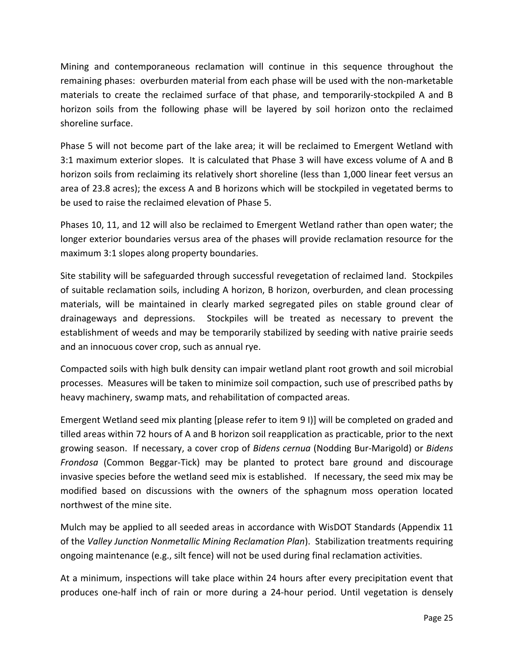Mining and contemporaneous reclamation will continue in this sequence throughout the remaining phases: overburden material from each phase will be used with the non-marketable materials to create the reclaimed surface of that phase, and temporarily-stockpiled A and B horizon soils from the following phase will be layered by soil horizon onto the reclaimed shoreline surface.

Phase 5 will not become part of the lake area; it will be reclaimed to Emergent Wetland with 3:1 maximum exterior slopes. It is calculated that Phase 3 will have excess volume of A and B horizon soils from reclaiming its relatively short shoreline (less than 1,000 linear feet versus an area of 23.8 acres); the excess A and B horizons which will be stockpiled in vegetated berms to be used to raise the reclaimed elevation of Phase 5.

Phases 10, 11, and 12 will also be reclaimed to Emergent Wetland rather than open water; the longer exterior boundaries versus area of the phases will provide reclamation resource for the maximum 3:1 slopes along property boundaries.

Site stability will be safeguarded through successful revegetation of reclaimed land. Stockpiles of suitable reclamation soils, including A horizon, B horizon, overburden, and clean processing materials, will be maintained in clearly marked segregated piles on stable ground clear of drainageways and depressions. Stockpiles will be treated as necessary to prevent the establishment of weeds and may be temporarily stabilized by seeding with native prairie seeds and an innocuous cover crop, such as annual rye.

Compacted soils with high bulk density can impair wetland plant root growth and soil microbial processes. Measures will be taken to minimize soil compaction, such use of prescribed paths by heavy machinery, swamp mats, and rehabilitation of compacted areas.

Emergent Wetland seed mix planting [please refer to item 9 I)] will be completed on graded and tilled areas within 72 hours of A and B horizon soil reapplication as practicable, prior to the next growing season. If necessary, a cover crop of *Bidens cernua* (Nodding Bur-Marigold) or *Bidens Frondosa* (Common Beggar-Tick) may be planted to protect bare ground and discourage invasive species before the wetland seed mix is established. If necessary, the seed mix may be modified based on discussions with the owners of the sphagnum moss operation located northwest of the mine site.

Mulch may be applied to all seeded areas in accordance with WisDOT Standards (Appendix 11 of the *Valley Junction Nonmetallic Mining Reclamation Plan*). Stabilization treatments requiring ongoing maintenance (e.g., silt fence) will not be used during final reclamation activities.

At a minimum, inspections will take place within 24 hours after every precipitation event that produces one-half inch of rain or more during a 24-hour period. Until vegetation is densely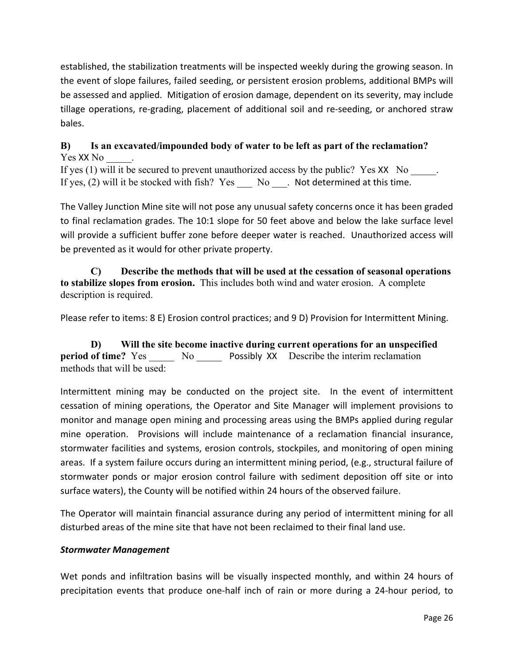established, the stabilization treatments will be inspected weekly during the growing season. In the event of slope failures, failed seeding, or persistent erosion problems, additional BMPs will be assessed and applied. Mitigation of erosion damage, dependent on its severity, may include tillage operations, re-grading, placement of additional soil and re-seeding, or anchored straw bales.

## **B) Is an excavated/impounded body of water to be left as part of the reclamation?**  Yes XX No

If yes (1) will it be secured to prevent unauthorized access by the public? Yes  $XX$  No  $\qquad$ . If yes,  $(2)$  will it be stocked with fish? Yes No  $\blacksquare$ . Not determined at this time.

The Valley Junction Mine site will not pose any unusual safety concerns once it has been graded to final reclamation grades. The 10:1 slope for 50 feet above and below the lake surface level will provide a sufficient buffer zone before deeper water is reached. Unauthorized access will be prevented as it would for other private property.

**C) Describe the methods that will be used at the cessation of seasonal operations to stabilize slopes from erosion.** This includes both wind and water erosion. A complete description is required.

Please refer to items: 8 E) Erosion control practices; and 9 D) Provision for Intermittent Mining.

**D) Will the site become inactive during current operations for an unspecified period of time?** Yes No Possibly XX Describe the interim reclamation methods that will be used:

Intermittent mining may be conducted on the project site. In the event of intermittent cessation of mining operations, the Operator and Site Manager will implement provisions to monitor and manage open mining and processing areas using the BMPs applied during regular mine operation. Provisions will include maintenance of a reclamation financial insurance, stormwater facilities and systems, erosion controls, stockpiles, and monitoring of open mining areas. If a system failure occurs during an intermittent mining period, (e.g., structural failure of stormwater ponds or major erosion control failure with sediment deposition off site or into surface waters), the County will be notified within 24 hours of the observed failure.

The Operator will maintain financial assurance during any period of intermittent mining for all disturbed areas of the mine site that have not been reclaimed to their final land use.

## *Stormwater Management*

Wet ponds and infiltration basins will be visually inspected monthly, and within 24 hours of precipitation events that produce one-half inch of rain or more during a 24-hour period, to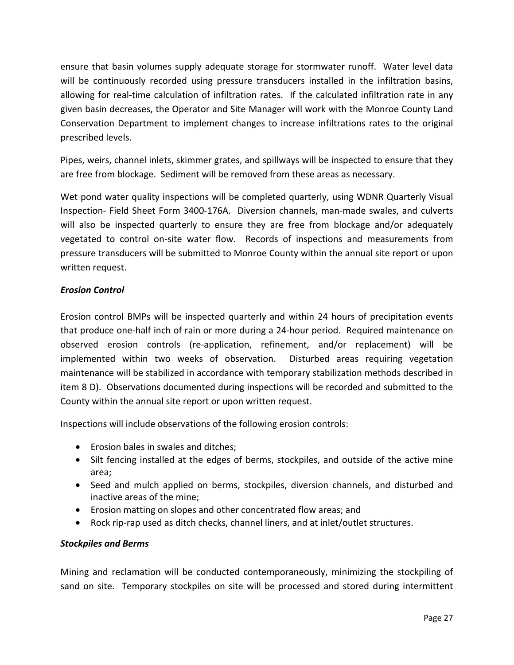ensure that basin volumes supply adequate storage for stormwater runoff. Water level data will be continuously recorded using pressure transducers installed in the infiltration basins, allowing for real-time calculation of infiltration rates. If the calculated infiltration rate in any given basin decreases, the Operator and Site Manager will work with the Monroe County Land Conservation Department to implement changes to increase infiltrations rates to the original prescribed levels.

Pipes, weirs, channel inlets, skimmer grates, and spillways will be inspected to ensure that they are free from blockage. Sediment will be removed from these areas as necessary.

Wet pond water quality inspections will be completed quarterly, using WDNR Quarterly Visual Inspection- Field Sheet Form 3400-176A. Diversion channels, man-made swales, and culverts will also be inspected quarterly to ensure they are free from blockage and/or adequately vegetated to control on-site water flow. Records of inspections and measurements from pressure transducers will be submitted to Monroe County within the annual site report or upon written request.

### *Erosion Control*

Erosion control BMPs will be inspected quarterly and within 24 hours of precipitation events that produce one-half inch of rain or more during a 24-hour period. Required maintenance on observed erosion controls (re-application, refinement, and/or replacement) will be implemented within two weeks of observation. Disturbed areas requiring vegetation maintenance will be stabilized in accordance with temporary stabilization methods described in item 8 D). Observations documented during inspections will be recorded and submitted to the County within the annual site report or upon written request.

Inspections will include observations of the following erosion controls:

- Erosion bales in swales and ditches;
- Silt fencing installed at the edges of berms, stockpiles, and outside of the active mine area;
- Seed and mulch applied on berms, stockpiles, diversion channels, and disturbed and inactive areas of the mine;
- Erosion matting on slopes and other concentrated flow areas; and
- Rock rip-rap used as ditch checks, channel liners, and at inlet/outlet structures.

## *Stockpiles and Berms*

Mining and reclamation will be conducted contemporaneously, minimizing the stockpiling of sand on site. Temporary stockpiles on site will be processed and stored during intermittent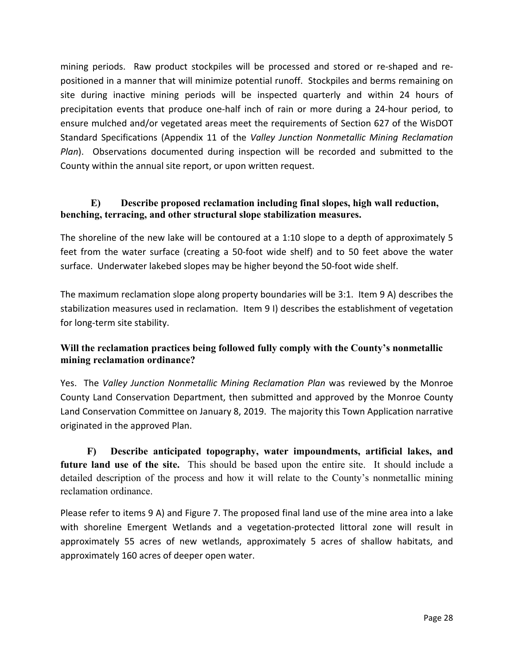mining periods. Raw product stockpiles will be processed and stored or re-shaped and repositioned in a manner that will minimize potential runoff. Stockpiles and berms remaining on site during inactive mining periods will be inspected quarterly and within 24 hours of precipitation events that produce one-half inch of rain or more during a 24-hour period, to ensure mulched and/or vegetated areas meet the requirements of Section 627 of the WisDOT Standard Specifications (Appendix 11 of the *Valley Junction Nonmetallic Mining Reclamation Plan*). Observations documented during inspection will be recorded and submitted to the County within the annual site report, or upon written request.

## **E) Describe proposed reclamation including final slopes, high wall reduction, benching, terracing, and other structural slope stabilization measures.**

The shoreline of the new lake will be contoured at a 1:10 slope to a depth of approximately 5 feet from the water surface (creating a 50-foot wide shelf) and to 50 feet above the water surface. Underwater lakebed slopes may be higher beyond the 50-foot wide shelf.

The maximum reclamation slope along property boundaries will be 3:1. Item 9 A) describes the stabilization measures used in reclamation. Item 9 I) describes the establishment of vegetation for long-term site stability.

## **Will the reclamation practices being followed fully comply with the County's nonmetallic mining reclamation ordinance?**

Yes. The *Valley Junction Nonmetallic Mining Reclamation Plan* was reviewed by the Monroe County Land Conservation Department, then submitted and approved by the Monroe County Land Conservation Committee on January 8, 2019. The majority this Town Application narrative originated in the approved Plan.

 **F) Describe anticipated topography, water impoundments, artificial lakes, and future land use of the site.** This should be based upon the entire site. It should include a detailed description of the process and how it will relate to the County's nonmetallic mining reclamation ordinance.

Please refer to items 9 A) and Figure 7. The proposed final land use of the mine area into a lake with shoreline Emergent Wetlands and a vegetation-protected littoral zone will result in approximately 55 acres of new wetlands, approximately 5 acres of shallow habitats, and approximately 160 acres of deeper open water.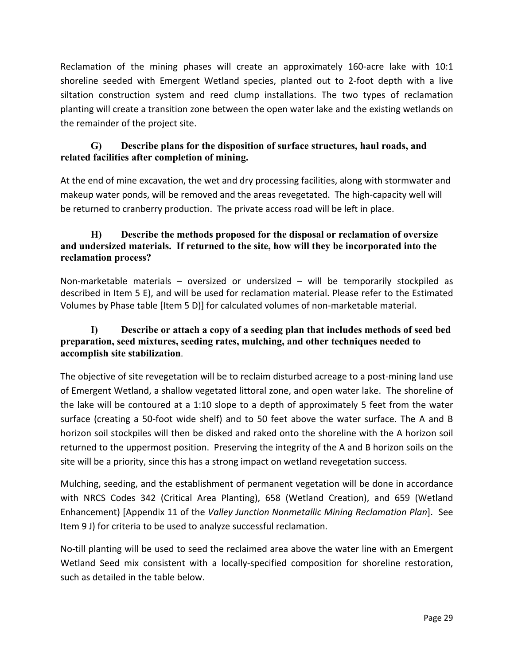Reclamation of the mining phases will create an approximately 160-acre lake with 10:1 shoreline seeded with Emergent Wetland species, planted out to 2-foot depth with a live siltation construction system and reed clump installations. The two types of reclamation planting will create a transition zone between the open water lake and the existing wetlands on the remainder of the project site.

## **G) Describe plans for the disposition of surface structures, haul roads, and related facilities after completion of mining.**

At the end of mine excavation, the wet and dry processing facilities, along with stormwater and makeup water ponds, will be removed and the areas revegetated. The high-capacity well will be returned to cranberry production. The private access road will be left in place.

## **H) Describe the methods proposed for the disposal or reclamation of oversize and undersized materials. If returned to the site, how will they be incorporated into the reclamation process?**

Non-marketable materials – oversized or undersized – will be temporarily stockpiled as described in Item 5 E), and will be used for reclamation material. Please refer to the Estimated Volumes by Phase table [Item 5 D)] for calculated volumes of non-marketable material.

## **I) Describe or attach a copy of a seeding plan that includes methods of seed bed preparation, seed mixtures, seeding rates, mulching, and other techniques needed to accomplish site stabilization**.

The objective of site revegetation will be to reclaim disturbed acreage to a post-mining land use of Emergent Wetland, a shallow vegetated littoral zone, and open water lake. The shoreline of the lake will be contoured at a 1:10 slope to a depth of approximately 5 feet from the water surface (creating a 50-foot wide shelf) and to 50 feet above the water surface. The A and B horizon soil stockpiles will then be disked and raked onto the shoreline with the A horizon soil returned to the uppermost position. Preserving the integrity of the A and B horizon soils on the site will be a priority, since this has a strong impact on wetland revegetation success.

Mulching, seeding, and the establishment of permanent vegetation will be done in accordance with NRCS Codes 342 (Critical Area Planting), 658 (Wetland Creation), and 659 (Wetland Enhancement) [Appendix 11 of the *Valley Junction Nonmetallic Mining Reclamation Plan*]. See Item 9 J) for criteria to be used to analyze successful reclamation.

No-till planting will be used to seed the reclaimed area above the water line with an Emergent Wetland Seed mix consistent with a locally-specified composition for shoreline restoration, such as detailed in the table below.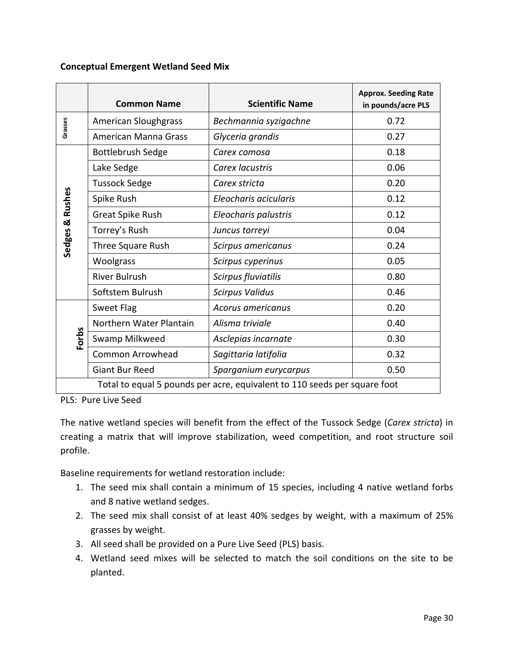#### **Conceptual Emergent Wetland Seed Mix**

|          | <b>Common Name</b>                                                        | <b>Scientific Name</b> | <b>Approx. Seeding Rate</b><br>in pounds/acre PLS |  |  |
|----------|---------------------------------------------------------------------------|------------------------|---------------------------------------------------|--|--|
| Grasses  | <b>American Sloughgrass</b>                                               | Bechmannia syzigachne  | 0.72                                              |  |  |
|          | American Manna Grass                                                      | Glyceria grandis       | 0.27                                              |  |  |
|          | <b>Bottlebrush Sedge</b>                                                  | Carex comosa           | 0.18                                              |  |  |
|          | Lake Sedge                                                                | Carex lacustris        | 0.06                                              |  |  |
|          | <b>Tussock Sedge</b>                                                      | Carex stricta          | 0.20                                              |  |  |
| & Rushes | Spike Rush                                                                | Eleocharis acicularis  | 0.12                                              |  |  |
|          | Great Spike Rush<br>Eleocharis palustris                                  |                        | 0.12                                              |  |  |
|          | Torrey's Rush                                                             | Juncus torreyi         | 0.04                                              |  |  |
| Sedges   | Three Square Rush                                                         | Scirpus americanus     | 0.24                                              |  |  |
|          | Woolgrass                                                                 | Scirpus cyperinus      | 0.05                                              |  |  |
|          | <b>River Bulrush</b>                                                      | Scirpus fluviatilis    | 0.80                                              |  |  |
|          | Softstem Bulrush                                                          | <b>Scirpus Validus</b> | 0.46                                              |  |  |
|          | Sweet Flag                                                                | Acorus americanus      | 0.20                                              |  |  |
|          | Northern Water Plantain                                                   | Alisma triviale        | 0.40                                              |  |  |
| Forbs    | Swamp Milkweed                                                            | Asclepias incarnate    | 0.30                                              |  |  |
|          | Common Arrowhead                                                          | Sagittaria latifolia   | 0.32                                              |  |  |
|          | <b>Giant Bur Reed</b>                                                     | Sparganium eurycarpus  | 0.50                                              |  |  |
|          | Total to equal 5 pounds per acre, equivalent to 110 seeds per square foot |                        |                                                   |  |  |

PLS: Pure Live Seed

The native wetland species will benefit from the effect of the Tussock Sedge (*Carex stricta*) in creating a matrix that will improve stabilization, weed competition, and root structure soil profile.

Baseline requirements for wetland restoration include:

- 1. The seed mix shall contain a minimum of 15 species, including 4 native wetland forbs and 8 native wetland sedges.
- 2. The seed mix shall consist of at least 40% sedges by weight, with a maximum of 25% grasses by weight.
- 3. All seed shall be provided on a Pure Live Seed (PLS) basis.
- 4. Wetland seed mixes will be selected to match the soil conditions on the site to be planted.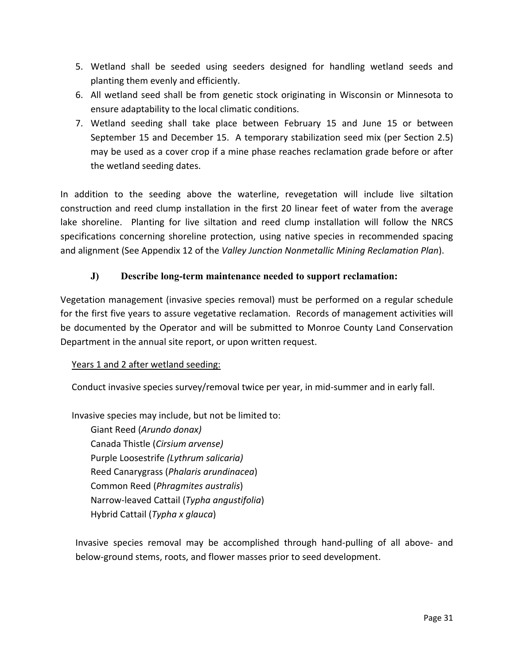- 5. Wetland shall be seeded using seeders designed for handling wetland seeds and planting them evenly and efficiently.
- 6. All wetland seed shall be from genetic stock originating in Wisconsin or Minnesota to ensure adaptability to the local climatic conditions.
- 7. Wetland seeding shall take place between February 15 and June 15 or between September 15 and December 15. A temporary stabilization seed mix (per Section 2.5) may be used as a cover crop if a mine phase reaches reclamation grade before or after the wetland seeding dates.

In addition to the seeding above the waterline, revegetation will include live siltation construction and reed clump installation in the first 20 linear feet of water from the average lake shoreline. Planting for live siltation and reed clump installation will follow the NRCS specifications concerning shoreline protection, using native species in recommended spacing and alignment (See Appendix 12 of the *Valley Junction Nonmetallic Mining Reclamation Plan*).

## **J) Describe long-term maintenance needed to support reclamation:**

Vegetation management (invasive species removal) must be performed on a regular schedule for the first five years to assure vegetative reclamation. Records of management activities will be documented by the Operator and will be submitted to Monroe County Land Conservation Department in the annual site report, or upon written request.

## Years 1 and 2 after wetland seeding:

Conduct invasive species survey/removal twice per year, in mid-summer and in early fall.

Invasive species may include, but not be limited to:

Giant Reed (*Arundo donax)* Canada Thistle (*Cirsium arvense)*  Purple Loosestrife *(Lythrum salicaria)*  Reed Canarygrass (*Phalaris arundinacea*) Common Reed (*Phragmites australis*) Narrow-leaved Cattail (*Typha angustifolia*) Hybrid Cattail (*Typha x glauca*)

Invasive species removal may be accomplished through hand-pulling of all above- and below-ground stems, roots, and flower masses prior to seed development.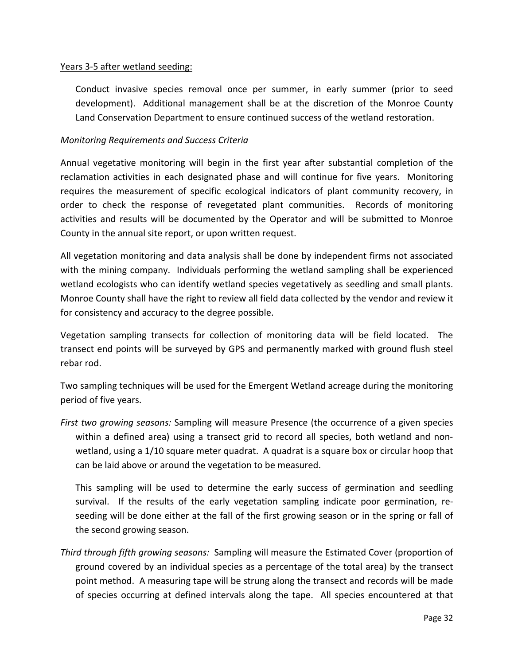#### Years 3-5 after wetland seeding:

Conduct invasive species removal once per summer, in early summer (prior to seed development). Additional management shall be at the discretion of the Monroe County Land Conservation Department to ensure continued success of the wetland restoration.

#### *Monitoring Requirements and Success Criteria*

Annual vegetative monitoring will begin in the first year after substantial completion of the reclamation activities in each designated phase and will continue for five years. Monitoring requires the measurement of specific ecological indicators of plant community recovery, in order to check the response of revegetated plant communities. Records of monitoring activities and results will be documented by the Operator and will be submitted to Monroe County in the annual site report, or upon written request.

All vegetation monitoring and data analysis shall be done by independent firms not associated with the mining company. Individuals performing the wetland sampling shall be experienced wetland ecologists who can identify wetland species vegetatively as seedling and small plants. Monroe County shall have the right to review all field data collected by the vendor and review it for consistency and accuracy to the degree possible.

Vegetation sampling transects for collection of monitoring data will be field located. The transect end points will be surveyed by GPS and permanently marked with ground flush steel rebar rod.

Two sampling techniques will be used for the Emergent Wetland acreage during the monitoring period of five years.

*First two growing seasons:* Sampling will measure Presence (the occurrence of a given species within a defined area) using a transect grid to record all species, both wetland and nonwetland, using a 1/10 square meter quadrat. A quadrat is a square box or circular hoop that can be laid above or around the vegetation to be measured.

This sampling will be used to determine the early success of germination and seedling survival. If the results of the early vegetation sampling indicate poor germination, reseeding will be done either at the fall of the first growing season or in the spring or fall of the second growing season.

*Third through fifth growing seasons:* Sampling will measure the Estimated Cover (proportion of ground covered by an individual species as a percentage of the total area) by the transect point method. A measuring tape will be strung along the transect and records will be made of species occurring at defined intervals along the tape. All species encountered at that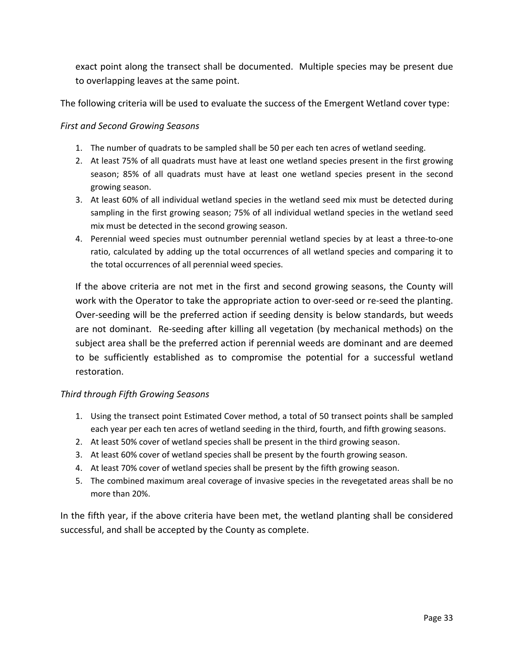exact point along the transect shall be documented. Multiple species may be present due to overlapping leaves at the same point.

The following criteria will be used to evaluate the success of the Emergent Wetland cover type:

#### *First and Second Growing Seasons*

- 1. The number of quadrats to be sampled shall be 50 per each ten acres of wetland seeding.
- 2. At least 75% of all quadrats must have at least one wetland species present in the first growing season; 85% of all quadrats must have at least one wetland species present in the second growing season.
- 3. At least 60% of all individual wetland species in the wetland seed mix must be detected during sampling in the first growing season; 75% of all individual wetland species in the wetland seed mix must be detected in the second growing season.
- 4. Perennial weed species must outnumber perennial wetland species by at least a three-to-one ratio, calculated by adding up the total occurrences of all wetland species and comparing it to the total occurrences of all perennial weed species.

If the above criteria are not met in the first and second growing seasons, the County will work with the Operator to take the appropriate action to over-seed or re-seed the planting. Over-seeding will be the preferred action if seeding density is below standards, but weeds are not dominant. Re-seeding after killing all vegetation (by mechanical methods) on the subject area shall be the preferred action if perennial weeds are dominant and are deemed to be sufficiently established as to compromise the potential for a successful wetland restoration.

#### *Third through Fifth Growing Seasons*

- 1. Using the transect point Estimated Cover method, a total of 50 transect points shall be sampled each year per each ten acres of wetland seeding in the third, fourth, and fifth growing seasons.
- 2. At least 50% cover of wetland species shall be present in the third growing season.
- 3. At least 60% cover of wetland species shall be present by the fourth growing season.
- 4. At least 70% cover of wetland species shall be present by the fifth growing season.
- 5. The combined maximum areal coverage of invasive species in the revegetated areas shall be no more than 20%.

In the fifth year, if the above criteria have been met, the wetland planting shall be considered successful, and shall be accepted by the County as complete.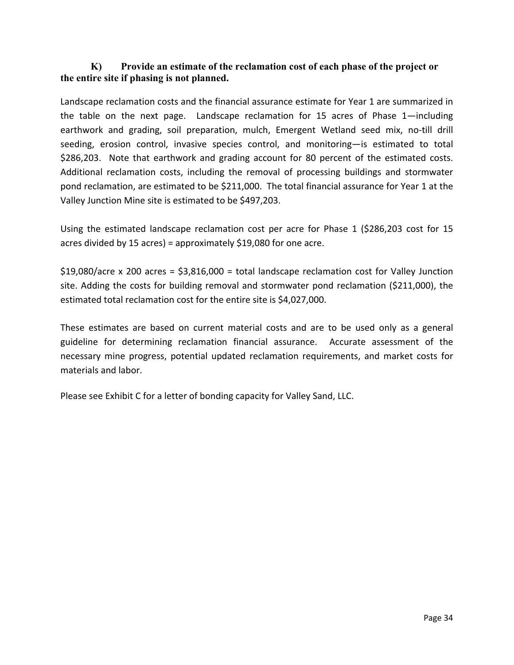## **K) Provide an estimate of the reclamation cost of each phase of the project or the entire site if phasing is not planned.**

Landscape reclamation costs and the financial assurance estimate for Year 1 are summarized in the table on the next page. Landscape reclamation for 15 acres of Phase 1—including earthwork and grading, soil preparation, mulch, Emergent Wetland seed mix, no-till drill seeding, erosion control, invasive species control, and monitoring—is estimated to total \$286,203. Note that earthwork and grading account for 80 percent of the estimated costs. Additional reclamation costs, including the removal of processing buildings and stormwater pond reclamation, are estimated to be \$211,000. The total financial assurance for Year 1 at the Valley Junction Mine site is estimated to be \$497,203.

Using the estimated landscape reclamation cost per acre for Phase 1 (\$286,203 cost for 15 acres divided by 15 acres) = approximately \$19,080 for one acre.

\$19,080/acre x 200 acres = \$3,816,000 = total landscape reclamation cost for Valley Junction site. Adding the costs for building removal and stormwater pond reclamation (\$211,000), the estimated total reclamation cost for the entire site is \$4,027,000.

These estimates are based on current material costs and are to be used only as a general guideline for determining reclamation financial assurance. Accurate assessment of the necessary mine progress, potential updated reclamation requirements, and market costs for materials and labor.

Please see Exhibit C for a letter of bonding capacity for Valley Sand, LLC.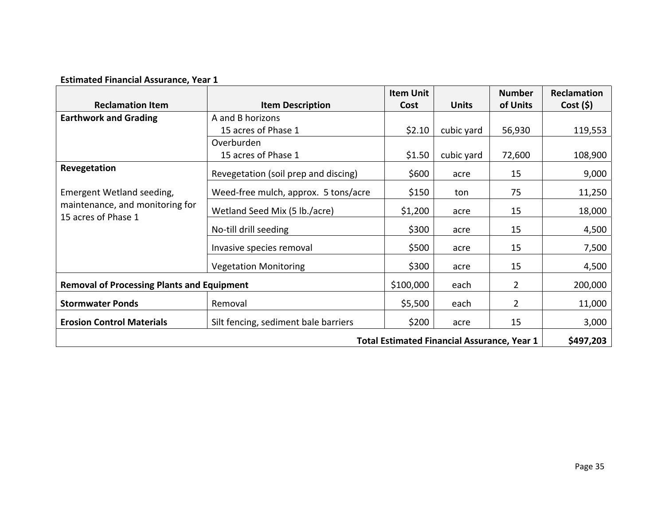|                                                        |                                      | <b>Item Unit</b> |                                                    | <b>Number</b>  | Reclamation |
|--------------------------------------------------------|--------------------------------------|------------------|----------------------------------------------------|----------------|-------------|
| <b>Reclamation Item</b>                                | <b>Item Description</b>              | Cost             | <b>Units</b>                                       | of Units       | Cost (5)    |
| <b>Earthwork and Grading</b>                           | A and B horizons                     |                  |                                                    |                |             |
|                                                        | 15 acres of Phase 1                  | \$2.10           | cubic yard                                         | 56,930         | 119,553     |
|                                                        | Overburden                           |                  |                                                    |                |             |
|                                                        | 15 acres of Phase 1                  | \$1.50           | cubic yard                                         | 72,600         | 108,900     |
| Revegetation                                           | Revegetation (soil prep and discing) | \$600            | acre                                               | 15             | 9,000       |
| Emergent Wetland seeding,                              | Weed-free mulch, approx. 5 tons/acre | \$150            | ton                                                | 75             | 11,250      |
| maintenance, and monitoring for<br>15 acres of Phase 1 | Wetland Seed Mix (5 lb./acre)        | \$1,200          | acre                                               | 15             | 18,000      |
|                                                        | No-till drill seeding                | \$300            | acre                                               | 15             | 4,500       |
|                                                        | Invasive species removal             | \$500            | acre                                               | 15             | 7,500       |
|                                                        | <b>Vegetation Monitoring</b>         | \$300            | acre                                               | 15             | 4,500       |
| <b>Removal of Processing Plants and Equipment</b>      |                                      | \$100,000        | each                                               | $\overline{2}$ | 200,000     |
| <b>Stormwater Ponds</b>                                | Removal                              | \$5,500          | each                                               | $\overline{2}$ | 11,000      |
| <b>Erosion Control Materials</b>                       | Silt fencing, sediment bale barriers | \$200            | acre                                               | 15             | 3,000       |
|                                                        |                                      |                  | <b>Total Estimated Financial Assurance, Year 1</b> |                | \$497,203   |

# **Estimated Financial Assurance, Year 1**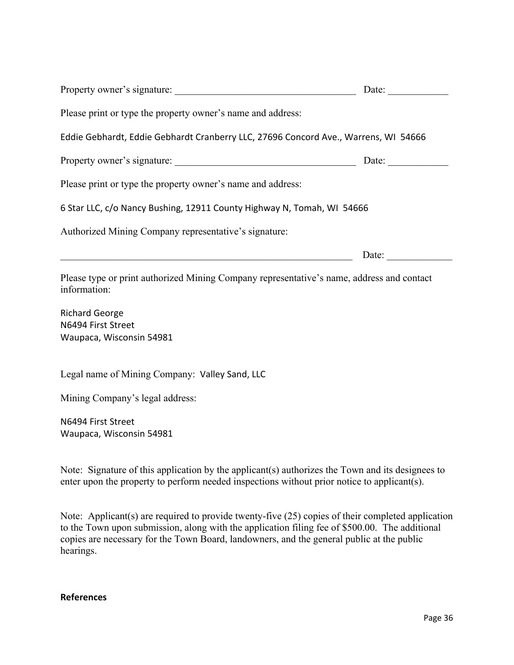|                                                                                                           | Date: $\qquad \qquad$ |  |  |  |
|-----------------------------------------------------------------------------------------------------------|-----------------------|--|--|--|
| Please print or type the property owner's name and address:                                               |                       |  |  |  |
| Eddie Gebhardt, Eddie Gebhardt Cranberry LLC, 27696 Concord Ave., Warrens, WI 54666                       |                       |  |  |  |
|                                                                                                           |                       |  |  |  |
| Please print or type the property owner's name and address:                                               |                       |  |  |  |
| 6 Star LLC, c/o Nancy Bushing, 12911 County Highway N, Tomah, WI 54666                                    |                       |  |  |  |
| Authorized Mining Company representative's signature:                                                     |                       |  |  |  |
|                                                                                                           | Date:                 |  |  |  |
| Please type or print authorized Mining Company representative's name, address and contact<br>information: |                       |  |  |  |
| <b>Richard George</b>                                                                                     |                       |  |  |  |
| N6494 First Street<br>Waupaca, Wisconsin 54981                                                            |                       |  |  |  |
| Legal name of Mining Company: Valley Sand, LLC                                                            |                       |  |  |  |
| Mining Company's legal address:                                                                           |                       |  |  |  |
| N6494 First Street                                                                                        |                       |  |  |  |
| Waupaca, Wisconsin 54981                                                                                  |                       |  |  |  |

Note: Signature of this application by the applicant(s) authorizes the Town and its designees to enter upon the property to perform needed inspections without prior notice to applicant(s).

Note: Applicant(s) are required to provide twenty-five (25) copies of their completed application to the Town upon submission, along with the application filing fee of \$500.00. The additional copies are necessary for the Town Board, landowners, and the general public at the public hearings.

### **References**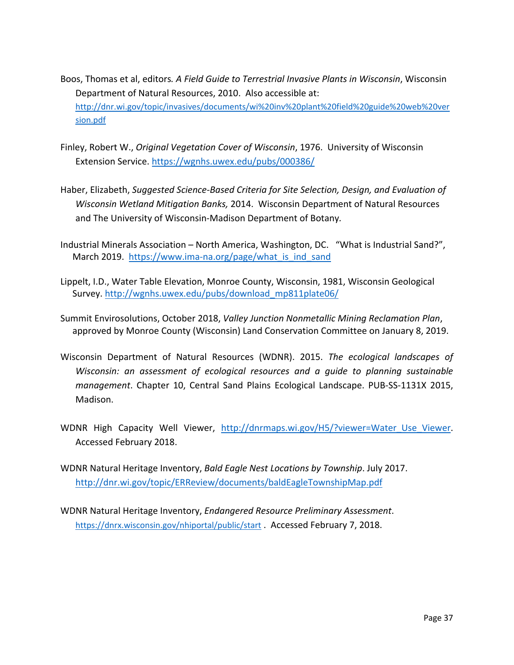- Boos, Thomas et al, editors*. A Field Guide to Terrestrial Invasive Plants in Wisconsin*, Wisconsin Department of Natural Resources, 2010. Also accessible at: http://dnr.wi.gov/topic/invasives/documents/wi%20inv%20plant%20field%20guide%20web%20ver sion.pdf
- Finley, Robert W., *Original Vegetation Cover of Wisconsin*, 1976. University of Wisconsin Extension Service. https://wgnhs.uwex.edu/pubs/000386/
- Haber, Elizabeth, *Suggested Science-Based Criteria for Site Selection, Design, and Evaluation of Wisconsin Wetland Mitigation Banks,* 2014. Wisconsin Department of Natural Resources and The University of Wisconsin-Madison Department of Botany*.*
- Industrial Minerals Association North America, Washington, DC. "What is Industrial Sand?", March 2019. https://www.ima-na.org/page/what\_is\_ind\_sand
- Lippelt, I.D., Water Table Elevation, Monroe County, Wisconsin, 1981, Wisconsin Geological Survey. http://wgnhs.uwex.edu/pubs/download\_mp811plate06/
- Summit Envirosolutions, October 2018, *Valley Junction Nonmetallic Mining Reclamation Plan*, approved by Monroe County (Wisconsin) Land Conservation Committee on January 8, 2019.
- Wisconsin Department of Natural Resources (WDNR). 2015. *The ecological landscapes of Wisconsin: an assessment of ecological resources and a guide to planning sustainable management*. Chapter 10, Central Sand Plains Ecological Landscape. PUB-SS-1131X 2015, Madison.
- WDNR High Capacity Well Viewer, http://dnrmaps.wi.gov/H5/?viewer=Water Use Viewer. Accessed February 2018.
- WDNR Natural Heritage Inventory, *Bald Eagle Nest Locations by Township*. July 2017. http://dnr.wi.gov/topic/ERReview/documents/baldEagleTownshipMap.pdf
- WDNR Natural Heritage Inventory, *Endangered Resource Preliminary Assessment*. https://dnrx.wisconsin.gov/nhiportal/public/start . Accessed February 7, 2018.